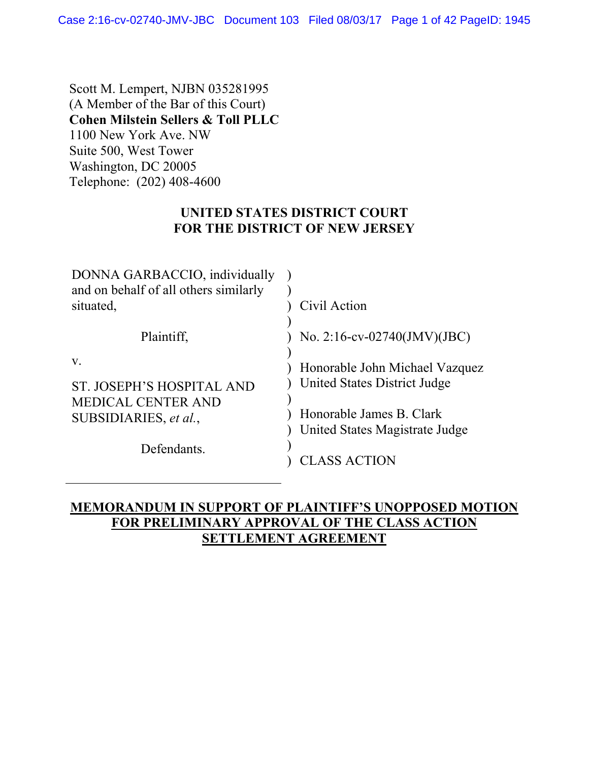Scott M. Lempert, NJBN 035281995 (A Member of the Bar of this Court) **Cohen Milstein Sellers & Toll PLLC** 1100 New York Ave. NW Suite 500, West Tower Washington, DC 20005 Telephone: (202) 408-4600

## **UNITED STATES DISTRICT COURT FOR THE DISTRICT OF NEW JERSEY**

| DONNA GARBACCIO, individually<br>and on behalf of all others similarly<br>situated, | Civil Action                                                   |
|-------------------------------------------------------------------------------------|----------------------------------------------------------------|
|                                                                                     |                                                                |
| Plaintiff,                                                                          | No. 2:16-cv-02740(JMV)(JBC)                                    |
| V.<br>ST. JOSEPH'S HOSPITAL AND                                                     | Honorable John Michael Vazquez<br>United States District Judge |
| <b>MEDICAL CENTER AND</b><br>SUBSIDIARIES, et al.,                                  | Honorable James B. Clark<br>United States Magistrate Judge     |
| Defendants.                                                                         | ASS ACTION.                                                    |

# **MEMORANDUM IN SUPPORT OF PLAINTIFF'S UNOPPOSED MOTION FOR PRELIMINARY APPROVAL OF THE CLASS ACTION SETTLEMENT AGREEMENT**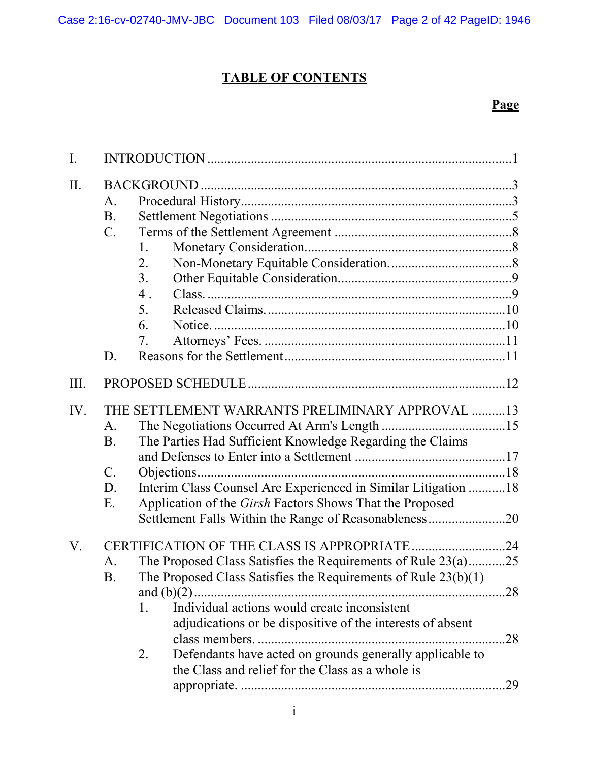# **TABLE OF CONTENTS**

# **Page**

| $\mathbf{I}$ . |                                                                                                                                                                                                                                                                                                                                                                                        |                   |
|----------------|----------------------------------------------------------------------------------------------------------------------------------------------------------------------------------------------------------------------------------------------------------------------------------------------------------------------------------------------------------------------------------------|-------------------|
| II.            | A.<br><b>B.</b><br>$C_{\cdot}$<br>1.<br>2.<br>3 <sub>1</sub><br>4.<br>5.<br>6.<br>7.<br>D.                                                                                                                                                                                                                                                                                             |                   |
| III.           |                                                                                                                                                                                                                                                                                                                                                                                        |                   |
| IV.            | THE SETTLEMENT WARRANTS PRELIMINARY APPROVAL 13<br>A.<br>The Parties Had Sufficient Knowledge Regarding the Claims<br>B.<br>$\mathcal{C}$ .<br>Interim Class Counsel Are Experienced in Similar Litigation 18<br>D.<br>Application of the Girsh Factors Shows That the Proposed<br>E.<br>Settlement Falls Within the Range of Reasonableness20                                         |                   |
| V.             | The Proposed Class Satisfies the Requirements of Rule 23(a)25<br>А.<br>The Proposed Class Satisfies the Requirements of Rule $23(b)(1)$<br>B<br>Individual actions would create inconsistent<br>1.<br>adjudications or be dispositive of the interests of absent<br>Defendants have acted on grounds generally applicable to<br>2.<br>the Class and relief for the Class as a whole is | .28<br>.28<br>.29 |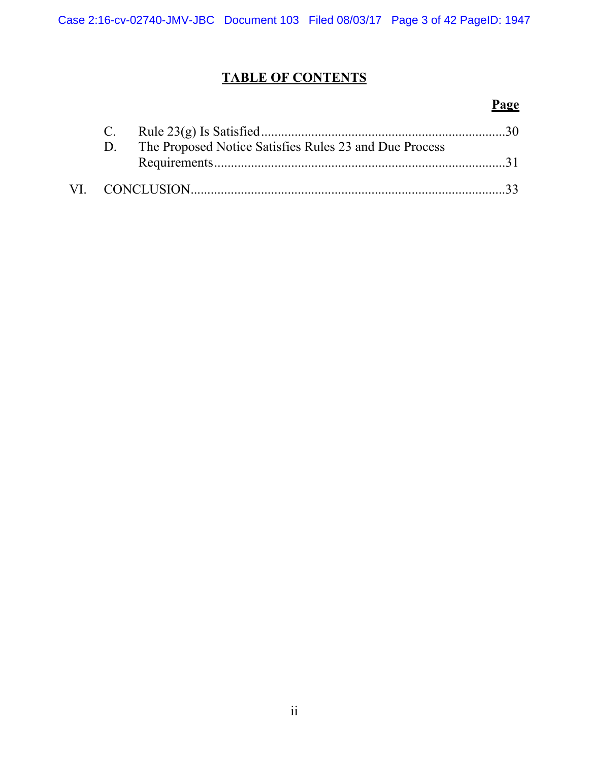# **TABLE OF CONTENTS**

# **Page**

|  | The Proposed Notice Satisfies Rules 23 and Due Process |  |
|--|--------------------------------------------------------|--|
|  |                                                        |  |
|  |                                                        |  |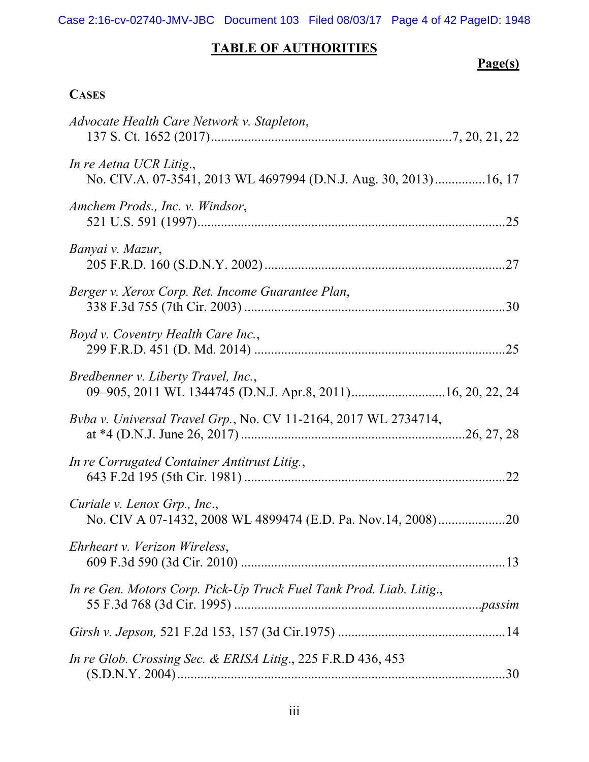Case 2:16-cv-02740-JMV-JBC Document 103 Filed 08/03/17 Page 4 of 42 PageID: 1948

# **TABLE OF AUTHORITIES**

# **Page(s)**

# **CASES**

| Advocate Health Care Network v. Stapleton,                                                        |  |
|---------------------------------------------------------------------------------------------------|--|
| In re Aetna UCR Litig.,<br>No. CIV.A. 07-3541, 2013 WL 4697994 (D.N.J. Aug. 30, 2013)16, 17       |  |
| Amchem Prods., Inc. v. Windsor,                                                                   |  |
| Banyai v. Mazur,                                                                                  |  |
| Berger v. Xerox Corp. Ret. Income Guarantee Plan,                                                 |  |
| Boyd v. Coventry Health Care Inc.,                                                                |  |
| Bredbenner v. Liberty Travel, Inc.,<br>09-905, 2011 WL 1344745 (D.N.J. Apr.8, 2011)16, 20, 22, 24 |  |
| Bvba v. Universal Travel Grp., No. CV 11-2164, 2017 WL 2734714,                                   |  |
| In re Corrugated Container Antitrust Litig.,                                                      |  |
| Curiale v. Lenox Grp., Inc.,                                                                      |  |
| Ehrheart v. Verizon Wireless,                                                                     |  |
| In re Gen. Motors Corp. Pick-Up Truck Fuel Tank Prod. Liab. Litig.,                               |  |
|                                                                                                   |  |
| In re Glob. Crossing Sec. & ERISA Litig., 225 F.R.D 436, 453                                      |  |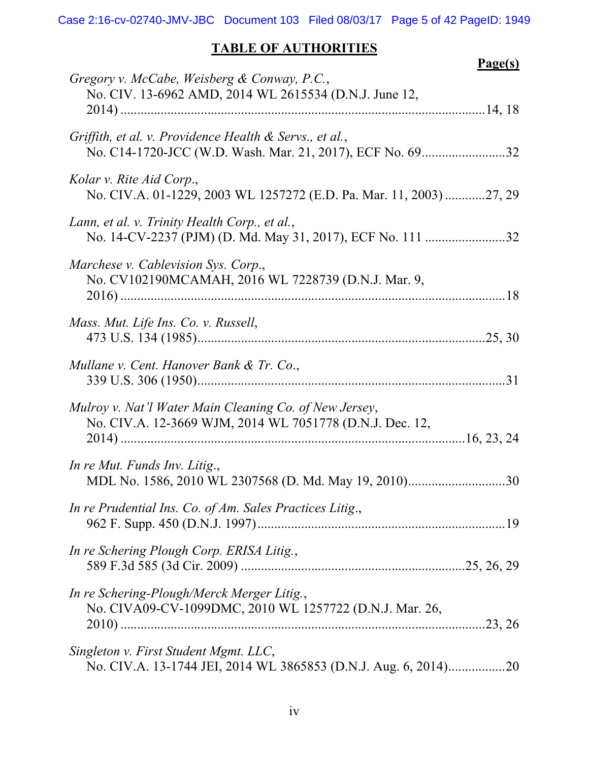# **TABLE OF AUTHORITIES**

|                                                                                                                    | Page(s) |
|--------------------------------------------------------------------------------------------------------------------|---------|
| Gregory v. McCabe, Weisberg & Conway, P.C.,<br>No. CIV. 13-6962 AMD, 2014 WL 2615534 (D.N.J. June 12,              |         |
| Griffith, et al. v. Providence Health & Servs., et al.,                                                            |         |
| Kolar v. Rite Aid Corp.,<br>No. CIV.A. 01-1229, 2003 WL 1257272 (E.D. Pa. Mar. 11, 2003) 27, 29                    |         |
| Lann, et al. v. Trinity Health Corp., et al.,                                                                      |         |
| Marchese v. Cablevision Sys. Corp.,<br>No. CV102190MCAMAH, 2016 WL 7228739 (D.N.J. Mar. 9,                         |         |
| Mass. Mut. Life Ins. Co. v. Russell,                                                                               |         |
| Mullane v. Cent. Hanover Bank & Tr. Co.,                                                                           |         |
| Mulroy v. Nat'l Water Main Cleaning Co. of New Jersey,<br>No. CIV.A. 12-3669 WJM, 2014 WL 7051778 (D.N.J. Dec. 12, |         |
| In re Mut. Funds Inv. Litig.,<br>MDL No. 1586, 2010 WL 2307568 (D. Md. May 19, 2010)30                             |         |
| In re Prudential Ins. Co. of Am. Sales Practices Litig.,                                                           |         |
| In re Schering Plough Corp. ERISA Litig.,                                                                          |         |
| In re Schering-Plough/Merck Merger Litig.,<br>No. CIVA09-CV-1099DMC, 2010 WL 1257722 (D.N.J. Mar. 26,              |         |
| Singleton v. First Student Mgmt. LLC,                                                                              |         |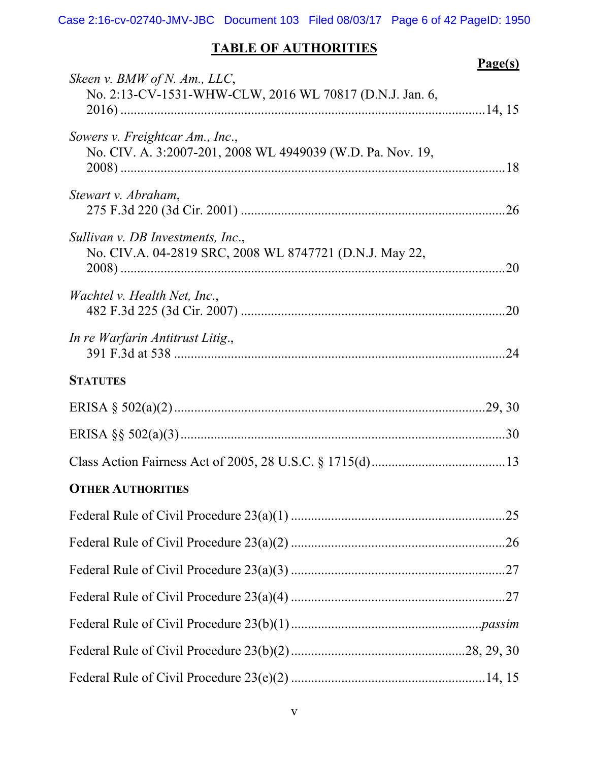# **TABLE OF AUTHORITIES**

|                                                                                               | Page(s) |
|-----------------------------------------------------------------------------------------------|---------|
| Skeen v. BMW of N. Am., LLC,<br>No. 2:13-CV-1531-WHW-CLW, 2016 WL 70817 (D.N.J. Jan. 6,       |         |
| Sowers v. Freightcar Am., Inc.,<br>No. CIV. A. 3:2007-201, 2008 WL 4949039 (W.D. Pa. Nov. 19, |         |
| Stewart v. Abraham,                                                                           |         |
| Sullivan v. DB Investments, Inc.,<br>No. CIV.A. 04-2819 SRC, 2008 WL 8747721 (D.N.J. May 22,  | .20     |
| Wachtel v. Health Net, Inc.,                                                                  |         |
| In re Warfarin Antitrust Litig.,                                                              |         |
| <b>STATUTES</b>                                                                               |         |
|                                                                                               |         |
|                                                                                               |         |
|                                                                                               |         |
| <b>OTHER AUTHORITIES</b>                                                                      |         |
|                                                                                               |         |
|                                                                                               |         |
|                                                                                               |         |
|                                                                                               |         |
|                                                                                               |         |
|                                                                                               |         |
|                                                                                               |         |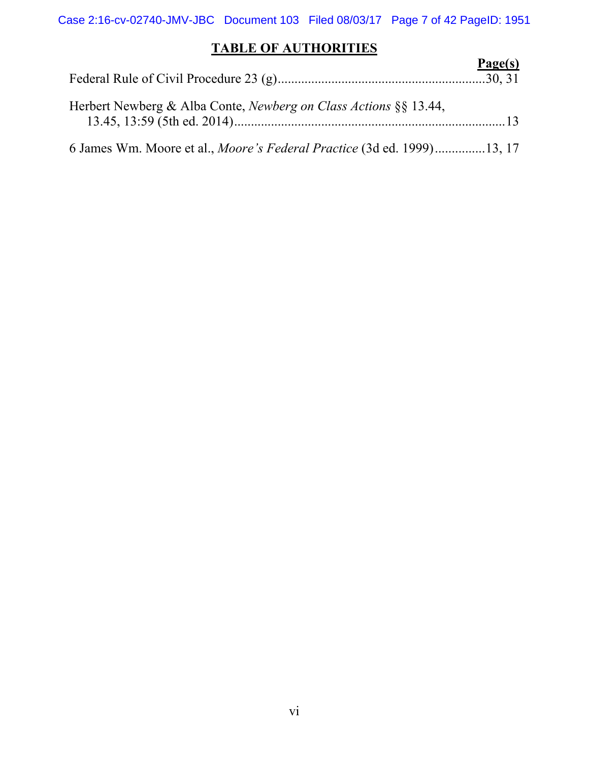Case 2:16-cv-02740-JMV-JBC Document 103 Filed 08/03/17 Page 7 of 42 PageID: 1951

# **TABLE OF AUTHORITIES**

|                                                                         | Page(s) |
|-------------------------------------------------------------------------|---------|
| Herbert Newberg & Alba Conte, <i>Newberg on Class Actions</i> §§ 13.44, |         |
| 6 James Wm. Moore et al., Moore's Federal Practice (3d ed. 1999)13, 17  |         |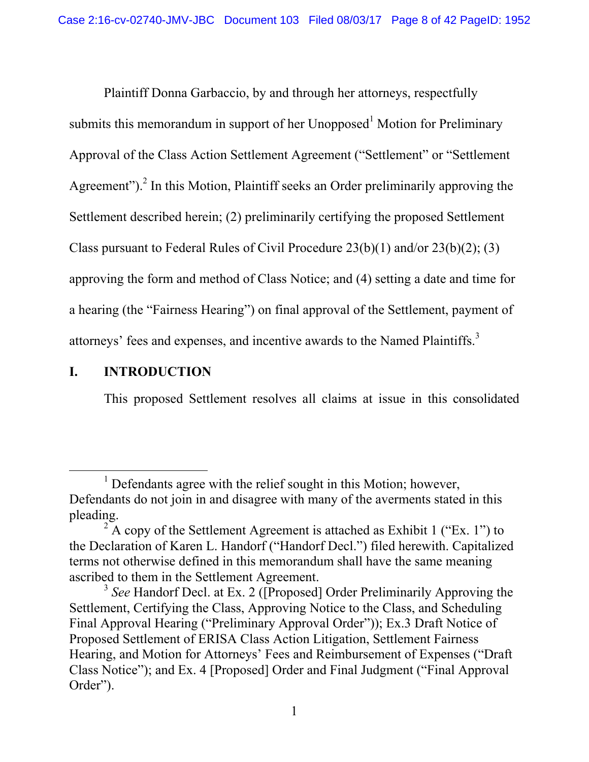Plaintiff Donna Garbaccio, by and through her attorneys, respectfully submits this memorandum in support of her Unopposed<sup>1</sup> Motion for Preliminary Approval of the Class Action Settlement Agreement ("Settlement" or "Settlement Agreement").<sup>2</sup> In this Motion, Plaintiff seeks an Order preliminarily approving the Settlement described herein; (2) preliminarily certifying the proposed Settlement Class pursuant to Federal Rules of Civil Procedure 23(b)(1) and/or 23(b)(2); (3) approving the form and method of Class Notice; and (4) setting a date and time for a hearing (the "Fairness Hearing") on final approval of the Settlement, payment of attorneys' fees and expenses, and incentive awards to the Named Plaintiffs.3

# **I. INTRODUCTION**

This proposed Settlement resolves all claims at issue in this consolidated

 $\frac{1}{1}$  $1$  Defendants agree with the relief sought in this Motion; however, Defendants do not join in and disagree with many of the averments stated in this pleading.

 $2^2$  A copy of the Settlement Agreement is attached as Exhibit 1 ("Ex. 1") to the Declaration of Karen L. Handorf ("Handorf Decl.") filed herewith. Capitalized terms not otherwise defined in this memorandum shall have the same meaning ascribed to them in the Settlement Agreement.

<sup>&</sup>lt;sup>3</sup> See Handorf Decl. at Ex. 2 ([Proposed] Order Preliminarily Approving the Settlement, Certifying the Class, Approving Notice to the Class, and Scheduling Final Approval Hearing ("Preliminary Approval Order")); Ex.3 Draft Notice of Proposed Settlement of ERISA Class Action Litigation, Settlement Fairness Hearing, and Motion for Attorneys' Fees and Reimbursement of Expenses ("Draft Class Notice"); and Ex. 4 [Proposed] Order and Final Judgment ("Final Approval Order").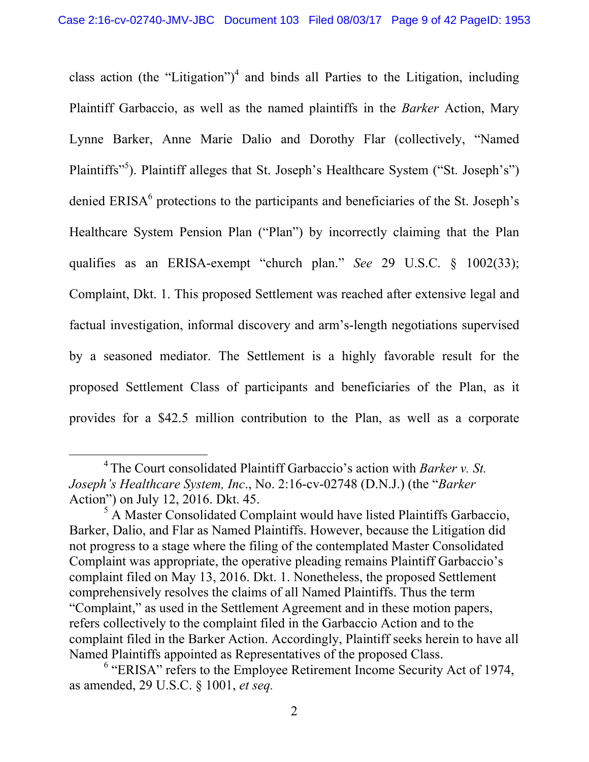class action (the "Litigation")<sup>4</sup> and binds all Parties to the Litigation, including Plaintiff Garbaccio, as well as the named plaintiffs in the *Barker* Action, Mary Lynne Barker, Anne Marie Dalio and Dorothy Flar (collectively, "Named Plaintiffs"<sup>5</sup>). Plaintiff alleges that St. Joseph's Healthcare System ("St. Joseph's") denied  $ERISA<sup>6</sup>$  protections to the participants and beneficiaries of the St. Joseph's Healthcare System Pension Plan ("Plan") by incorrectly claiming that the Plan qualifies as an ERISA-exempt "church plan." *See* 29 U.S.C. § 1002(33); Complaint, Dkt. 1. This proposed Settlement was reached after extensive legal and factual investigation, informal discovery and arm's-length negotiations supervised by a seasoned mediator. The Settlement is a highly favorable result for the proposed Settlement Class of participants and beneficiaries of the Plan, as it provides for a \$42.5 million contribution to the Plan, as well as a corporate

 <sup>4</sup> The Court consolidated Plaintiff Garbaccio's action with *Barker v. St. Joseph's Healthcare System, Inc*., No. 2:16-cv-02748 (D.N.J.) (the "*Barker* Action") on July 12, 2016. Dkt. 45.

<sup>&</sup>lt;sup>5</sup> A Master Consolidated Complaint would have listed Plaintiffs Garbaccio, Barker, Dalio, and Flar as Named Plaintiffs. However, because the Litigation did not progress to a stage where the filing of the contemplated Master Consolidated Complaint was appropriate, the operative pleading remains Plaintiff Garbaccio's complaint filed on May 13, 2016. Dkt. 1. Nonetheless, the proposed Settlement comprehensively resolves the claims of all Named Plaintiffs. Thus the term "Complaint," as used in the Settlement Agreement and in these motion papers, refers collectively to the complaint filed in the Garbaccio Action and to the complaint filed in the Barker Action. Accordingly, Plaintiff seeks herein to have all Named Plaintiffs appointed as Representatives of the proposed Class.

<sup>&</sup>lt;sup>6</sup> "ERISA" refers to the Employee Retirement Income Security Act of 1974, as amended, 29 U.S.C. § 1001, *et seq.*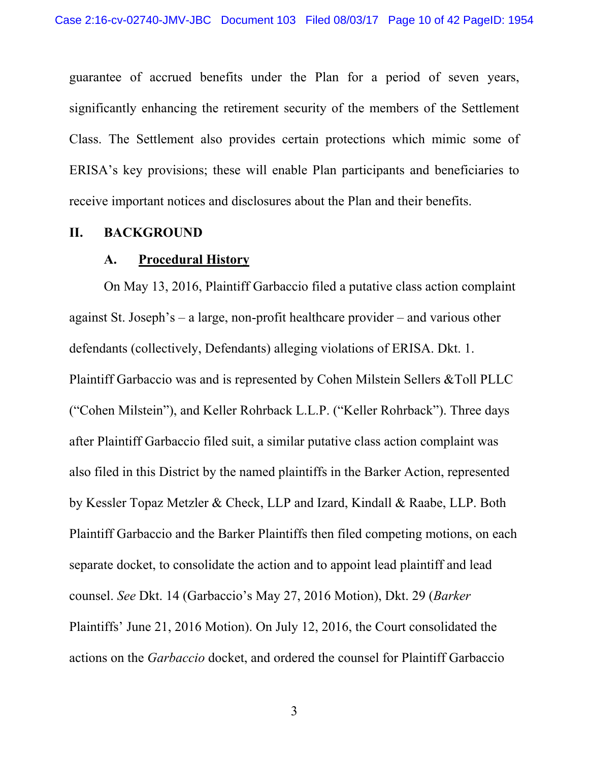guarantee of accrued benefits under the Plan for a period of seven years, significantly enhancing the retirement security of the members of the Settlement Class. The Settlement also provides certain protections which mimic some of ERISA's key provisions; these will enable Plan participants and beneficiaries to receive important notices and disclosures about the Plan and their benefits.

#### **II. BACKGROUND**

#### **A. Procedural History**

On May 13, 2016, Plaintiff Garbaccio filed a putative class action complaint against St. Joseph's – a large, non-profit healthcare provider – and various other defendants (collectively, Defendants) alleging violations of ERISA. Dkt. 1. Plaintiff Garbaccio was and is represented by Cohen Milstein Sellers &Toll PLLC ("Cohen Milstein"), and Keller Rohrback L.L.P. ("Keller Rohrback"). Three days after Plaintiff Garbaccio filed suit, a similar putative class action complaint was also filed in this District by the named plaintiffs in the Barker Action, represented by Kessler Topaz Metzler & Check, LLP and Izard, Kindall & Raabe, LLP. Both Plaintiff Garbaccio and the Barker Plaintiffs then filed competing motions, on each separate docket, to consolidate the action and to appoint lead plaintiff and lead counsel. *See* Dkt. 14 (Garbaccio's May 27, 2016 Motion), Dkt. 29 (*Barker* Plaintiffs' June 21, 2016 Motion). On July 12, 2016, the Court consolidated the actions on the *Garbaccio* docket, and ordered the counsel for Plaintiff Garbaccio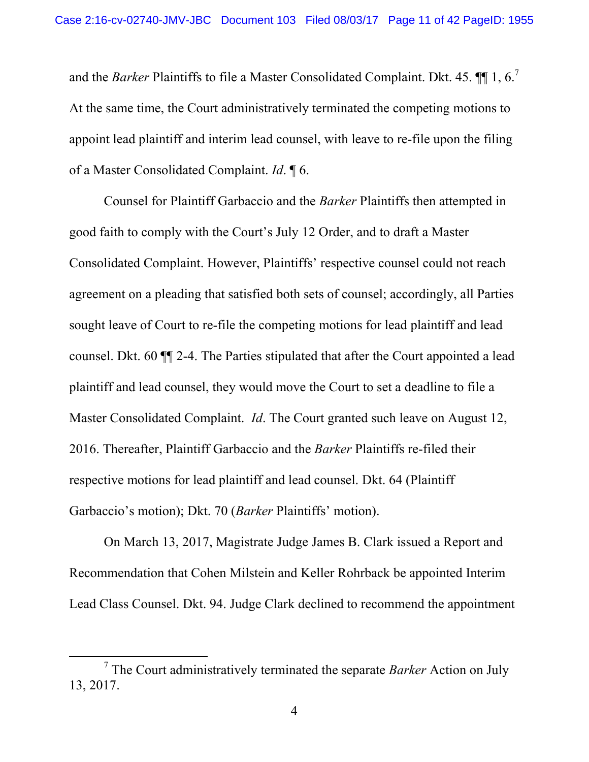and the *Barker* Plaintiffs to file a Master Consolidated Complaint. Dkt. 45.  $\P\P$  1, 6.<sup>7</sup> At the same time, the Court administratively terminated the competing motions to appoint lead plaintiff and interim lead counsel, with leave to re-file upon the filing of a Master Consolidated Complaint. *Id*. ¶ 6.

Counsel for Plaintiff Garbaccio and the *Barker* Plaintiffs then attempted in good faith to comply with the Court's July 12 Order, and to draft a Master Consolidated Complaint. However, Plaintiffs' respective counsel could not reach agreement on a pleading that satisfied both sets of counsel; accordingly, all Parties sought leave of Court to re-file the competing motions for lead plaintiff and lead counsel. Dkt. 60 ¶¶ 2-4. The Parties stipulated that after the Court appointed a lead plaintiff and lead counsel, they would move the Court to set a deadline to file a Master Consolidated Complaint. *Id*. The Court granted such leave on August 12, 2016. Thereafter, Plaintiff Garbaccio and the *Barker* Plaintiffs re-filed their respective motions for lead plaintiff and lead counsel. Dkt. 64 (Plaintiff Garbaccio's motion); Dkt. 70 (*Barker* Plaintiffs' motion).

On March 13, 2017, Magistrate Judge James B. Clark issued a Report and Recommendation that Cohen Milstein and Keller Rohrback be appointed Interim Lead Class Counsel. Dkt. 94. Judge Clark declined to recommend the appointment

 $\frac{1}{7}$  The Court administratively terminated the separate *Barker* Action on July 13, 2017.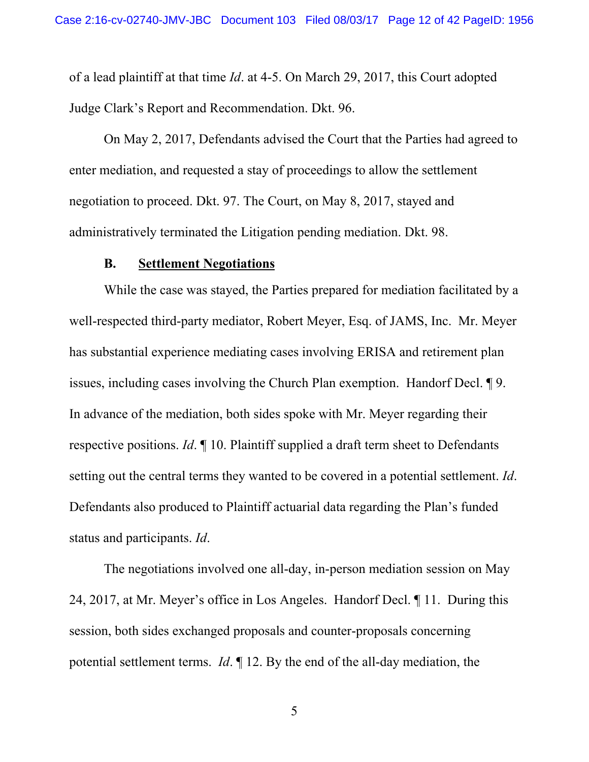of a lead plaintiff at that time *Id*. at 4-5. On March 29, 2017, this Court adopted Judge Clark's Report and Recommendation. Dkt. 96.

On May 2, 2017, Defendants advised the Court that the Parties had agreed to enter mediation, and requested a stay of proceedings to allow the settlement negotiation to proceed. Dkt. 97. The Court, on May 8, 2017, stayed and administratively terminated the Litigation pending mediation. Dkt. 98.

#### **B. Settlement Negotiations**

While the case was stayed, the Parties prepared for mediation facilitated by a well-respected third-party mediator, Robert Meyer, Esq. of JAMS, Inc. Mr. Meyer has substantial experience mediating cases involving ERISA and retirement plan issues, including cases involving the Church Plan exemption. Handorf Decl. ¶ 9. In advance of the mediation, both sides spoke with Mr. Meyer regarding their respective positions. *Id*. ¶ 10. Plaintiff supplied a draft term sheet to Defendants setting out the central terms they wanted to be covered in a potential settlement. *Id*. Defendants also produced to Plaintiff actuarial data regarding the Plan's funded status and participants. *Id*.

The negotiations involved one all-day, in-person mediation session on May 24, 2017, at Mr. Meyer's office in Los Angeles. Handorf Decl. ¶ 11. During this session, both sides exchanged proposals and counter-proposals concerning potential settlement terms. *Id*. ¶ 12. By the end of the all-day mediation, the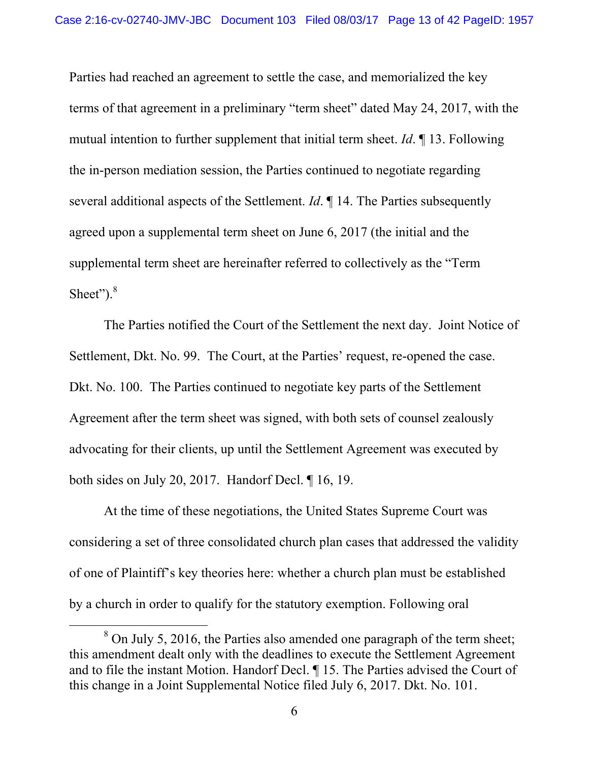Parties had reached an agreement to settle the case, and memorialized the key terms of that agreement in a preliminary "term sheet" dated May 24, 2017, with the mutual intention to further supplement that initial term sheet. *Id*. ¶ 13. Following the in-person mediation session, the Parties continued to negotiate regarding several additional aspects of the Settlement. *Id*. ¶ 14. The Parties subsequently agreed upon a supplemental term sheet on June 6, 2017 (the initial and the supplemental term sheet are hereinafter referred to collectively as the "Term Sheet"). $8$ 

The Parties notified the Court of the Settlement the next day. Joint Notice of Settlement, Dkt. No. 99. The Court, at the Parties' request, re-opened the case. Dkt. No. 100. The Parties continued to negotiate key parts of the Settlement Agreement after the term sheet was signed, with both sets of counsel zealously advocating for their clients, up until the Settlement Agreement was executed by both sides on July 20, 2017. Handorf Decl. ¶ 16, 19.

At the time of these negotiations, the United States Supreme Court was considering a set of three consolidated church plan cases that addressed the validity of one of Plaintiff's key theories here: whether a church plan must be established by a church in order to qualify for the statutory exemption. Following oral

 <sup>8</sup> <sup>8</sup> On July 5, 2016, the Parties also amended one paragraph of the term sheet; this amendment dealt only with the deadlines to execute the Settlement Agreement and to file the instant Motion. Handorf Decl. ¶ 15. The Parties advised the Court of this change in a Joint Supplemental Notice filed July 6, 2017. Dkt. No. 101.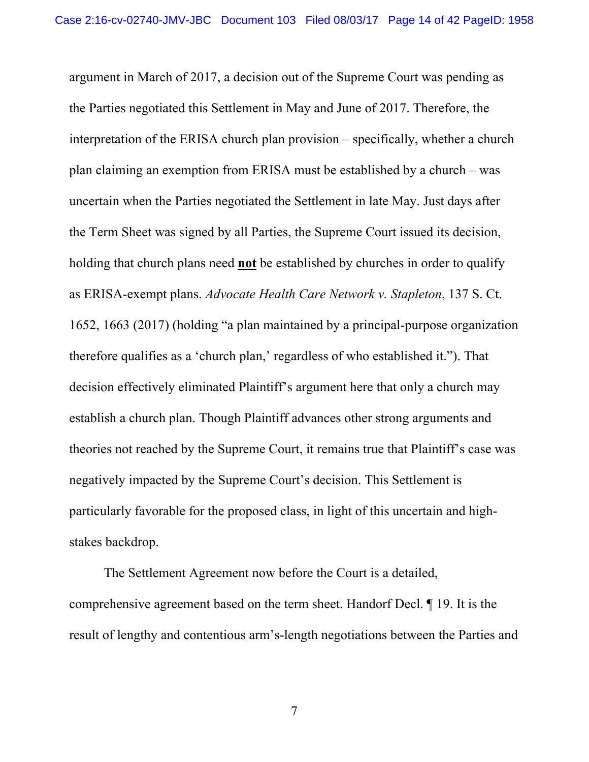argument in March of 2017, a decision out of the Supreme Court was pending as the Parties negotiated this Settlement in May and June of 2017. Therefore, the interpretation of the ERISA church plan provision – specifically, whether a church plan claiming an exemption from ERISA must be established by a church – was uncertain when the Parties negotiated the Settlement in late May. Just days after the Term Sheet was signed by all Parties, the Supreme Court issued its decision, holding that church plans need **not** be established by churches in order to qualify as ERISA-exempt plans. *Advocate Health Care Network v. Stapleton*, 137 S. Ct. 1652, 1663 (2017) (holding "a plan maintained by a principal-purpose organization therefore qualifies as a 'church plan,' regardless of who established it."). That decision effectively eliminated Plaintiff's argument here that only a church may establish a church plan. Though Plaintiff advances other strong arguments and theories not reached by the Supreme Court, it remains true that Plaintiff's case was negatively impacted by the Supreme Court's decision. This Settlement is particularly favorable for the proposed class, in light of this uncertain and highstakes backdrop.

The Settlement Agreement now before the Court is a detailed, comprehensive agreement based on the term sheet. Handorf Decl. ¶ 19. It is the result of lengthy and contentious arm's-length negotiations between the Parties and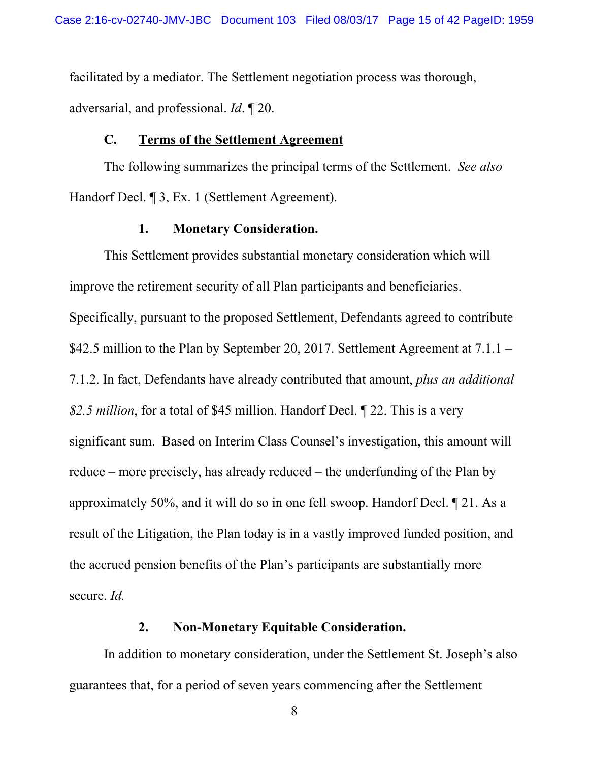facilitated by a mediator. The Settlement negotiation process was thorough, adversarial, and professional. *Id*. ¶ 20.

#### **C. Terms of the Settlement Agreement**

The following summarizes the principal terms of the Settlement. *See also* Handorf Decl. ¶ 3, Ex. 1 (Settlement Agreement).

## **1. Monetary Consideration.**

This Settlement provides substantial monetary consideration which will improve the retirement security of all Plan participants and beneficiaries. Specifically, pursuant to the proposed Settlement, Defendants agreed to contribute \$42.5 million to the Plan by September 20, 2017. Settlement Agreement at 7.1.1 – 7.1.2. In fact, Defendants have already contributed that amount, *plus an additional \$2.5 million*, for a total of \$45 million. Handorf Decl. ¶ 22. This is a very significant sum. Based on Interim Class Counsel's investigation, this amount will reduce – more precisely, has already reduced – the underfunding of the Plan by approximately 50%, and it will do so in one fell swoop. Handorf Decl. ¶ 21. As a result of the Litigation, the Plan today is in a vastly improved funded position, and the accrued pension benefits of the Plan's participants are substantially more secure. *Id.*

#### **2. Non-Monetary Equitable Consideration.**

In addition to monetary consideration, under the Settlement St. Joseph's also guarantees that, for a period of seven years commencing after the Settlement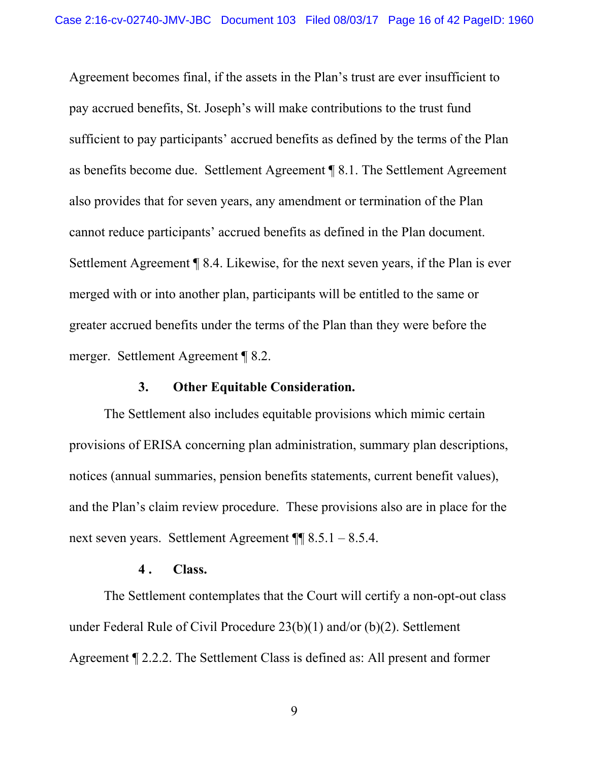Agreement becomes final, if the assets in the Plan's trust are ever insufficient to pay accrued benefits, St. Joseph's will make contributions to the trust fund sufficient to pay participants' accrued benefits as defined by the terms of the Plan as benefits become due. Settlement Agreement ¶ 8.1. The Settlement Agreement also provides that for seven years, any amendment or termination of the Plan cannot reduce participants' accrued benefits as defined in the Plan document. Settlement Agreement ¶ 8.4. Likewise, for the next seven years, if the Plan is ever merged with or into another plan, participants will be entitled to the same or greater accrued benefits under the terms of the Plan than they were before the merger. Settlement Agreement ¶ 8.2.

#### **3. Other Equitable Consideration.**

The Settlement also includes equitable provisions which mimic certain provisions of ERISA concerning plan administration, summary plan descriptions, notices (annual summaries, pension benefits statements, current benefit values), and the Plan's claim review procedure. These provisions also are in place for the next seven years. Settlement Agreement ¶¶ 8.5.1 – 8.5.4.

#### **4 . Class.**

The Settlement contemplates that the Court will certify a non-opt-out class under Federal Rule of Civil Procedure 23(b)(1) and/or (b)(2). Settlement Agreement ¶ 2.2.2. The Settlement Class is defined as: All present and former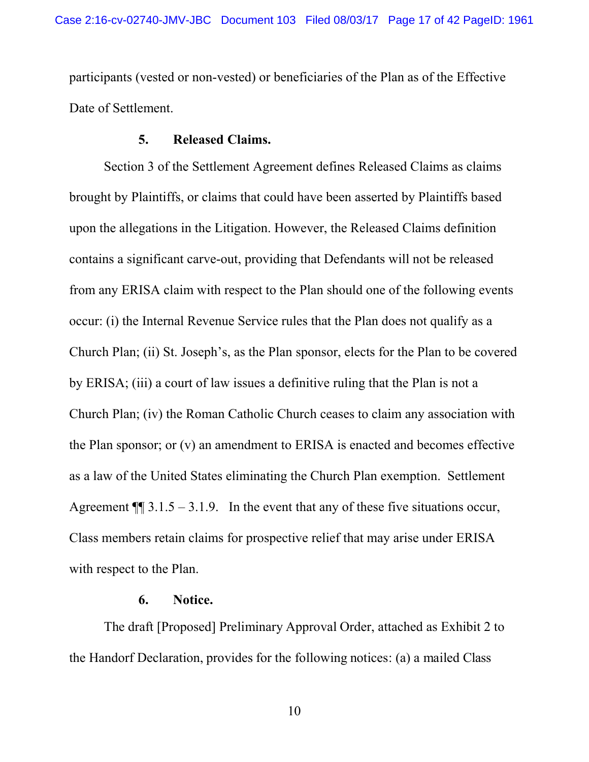participants (vested or non-vested) or beneficiaries of the Plan as of the Effective Date of Settlement.

#### **5. Released Claims.**

Section 3 of the Settlement Agreement defines Released Claims as claims brought by Plaintiffs, or claims that could have been asserted by Plaintiffs based upon the allegations in the Litigation. However, the Released Claims definition contains a significant carve-out, providing that Defendants will not be released from any ERISA claim with respect to the Plan should one of the following events occur: (i) the Internal Revenue Service rules that the Plan does not qualify as a Church Plan; (ii) St. Joseph's, as the Plan sponsor, elects for the Plan to be covered by ERISA; (iii) a court of law issues a definitive ruling that the Plan is not a Church Plan; (iv) the Roman Catholic Church ceases to claim any association with the Plan sponsor; or (v) an amendment to ERISA is enacted and becomes effective as a law of the United States eliminating the Church Plan exemption. Settlement Agreement  $\P$  3.1.5 – 3.1.9. In the event that any of these five situations occur, Class members retain claims for prospective relief that may arise under ERISA with respect to the Plan.

### **6. Notice.**

The draft [Proposed] Preliminary Approval Order, attached as Exhibit 2 to the Handorf Declaration, provides for the following notices: (a) a mailed Class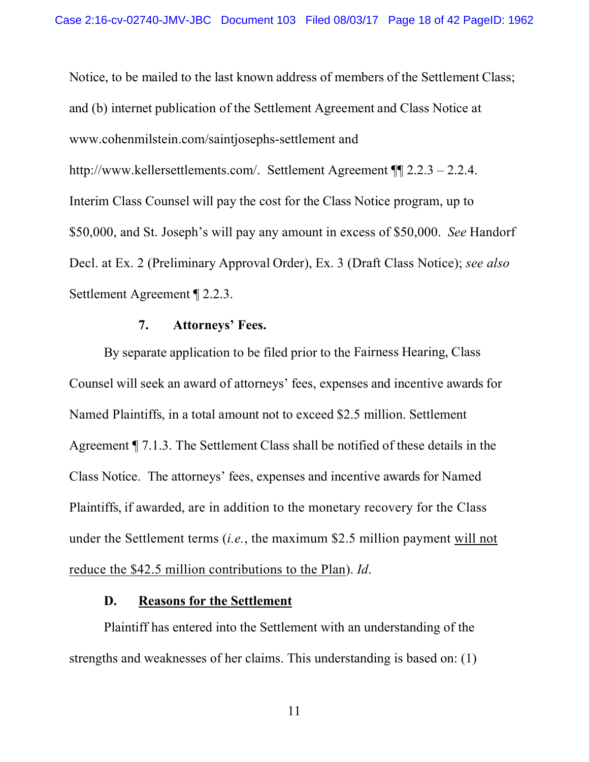Notice, to be mailed to the last known address of members of the Settlement Class; and (b) internet publication of the Settlement Agreement and Class Notice at www.cohenmilstein.com/saintjosephs-settlement and http://www.kellersettlements.com/. Settlement Agreement ¶¶ 2.2.3 – 2.2.4. Interim Class Counsel will pay the cost for the Class Notice program, up to \$50,000, and St. Joseph's will pay any amount in excess of \$50,000. *See* Handorf Decl. at Ex. 2 (Preliminary Approval Order), Ex. 3 (Draft Class Notice); *see also* Settlement Agreement ¶ 2.2.3.

## **7. Attorneys' Fees.**

By separate application to be filed prior to the Fairness Hearing, Class Counsel will seek an award of attorneys' fees, expenses and incentive awards for Named Plaintiffs, in a total amount not to exceed \$2.5 million. Settlement Agreement ¶ 7.1.3. The Settlement Class shall be notified of these details in the Class Notice. The attorneys' fees, expenses and incentive awards for Named Plaintiffs, if awarded, are in addition to the monetary recovery for the Class under the Settlement terms (*i.e.*, the maximum \$2.5 million payment will not reduce the \$42.5 million contributions to the Plan). *Id*.

### **D. Reasons for the Settlement**

Plaintiff has entered into the Settlement with an understanding of the strengths and weaknesses of her claims. This understanding is based on: (1)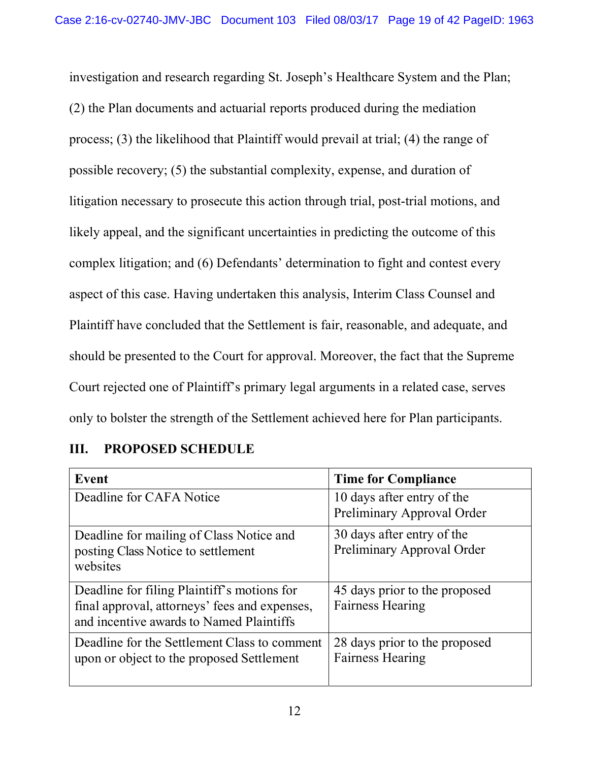investigation and research regarding St. Joseph's Healthcare System and the Plan; (2) the Plan documents and actuarial reports produced during the mediation process; (3) the likelihood that Plaintiff would prevail at trial; (4) the range of possible recovery; (5) the substantial complexity, expense, and duration of litigation necessary to prosecute this action through trial, post-trial motions, and likely appeal, and the significant uncertainties in predicting the outcome of this complex litigation; and (6) Defendants' determination to fight and contest every aspect of this case. Having undertaken this analysis, Interim Class Counsel and Plaintiff have concluded that the Settlement is fair, reasonable, and adequate, and should be presented to the Court for approval. Moreover, the fact that the Supreme Court rejected one of Plaintiff's primary legal arguments in a related case, serves only to bolster the strength of the Settlement achieved here for Plan participants.

| Event                                                                                                                                    | <b>Time for Compliance</b>                               |
|------------------------------------------------------------------------------------------------------------------------------------------|----------------------------------------------------------|
| Deadline for CAFA Notice                                                                                                                 | 10 days after entry of the<br>Preliminary Approval Order |
| Deadline for mailing of Class Notice and<br>posting Class Notice to settlement<br>websites                                               | 30 days after entry of the<br>Preliminary Approval Order |
| Deadline for filing Plaintiff's motions for<br>final approval, attorneys' fees and expenses,<br>and incentive awards to Named Plaintiffs | 45 days prior to the proposed<br><b>Fairness Hearing</b> |
| Deadline for the Settlement Class to comment<br>upon or object to the proposed Settlement                                                | 28 days prior to the proposed<br><b>Fairness Hearing</b> |

# **III. PROPOSED SCHEDULE**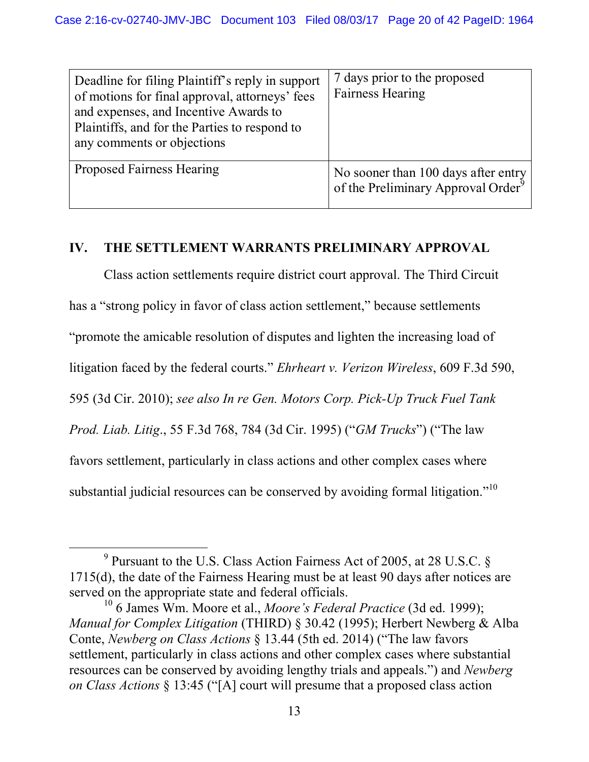| Deadline for filing Plaintiff's reply in support<br>of motions for final approval, attorneys' fees<br>and expenses, and Incentive Awards to<br>Plaintiffs, and for the Parties to respond to<br>any comments or objections | 7 days prior to the proposed<br><b>Fairness Hearing</b>                               |
|----------------------------------------------------------------------------------------------------------------------------------------------------------------------------------------------------------------------------|---------------------------------------------------------------------------------------|
| Proposed Fairness Hearing                                                                                                                                                                                                  | No sooner than 100 days after entry<br>of the Preliminary Approval Order <sup>9</sup> |

# **IV. THE SETTLEMENT WARRANTS PRELIMINARY APPROVAL**

Class action settlements require district court approval. The Third Circuit has a "strong policy in favor of class action settlement," because settlements "promote the amicable resolution of disputes and lighten the increasing load of litigation faced by the federal courts." *Ehrheart v. Verizon Wireless*, 609 F.3d 590, 595 (3d Cir. 2010); *see also In re Gen. Motors Corp. Pick-Up Truck Fuel Tank Prod. Liab. Litig*., 55 F.3d 768, 784 (3d Cir. 1995) ("*GM Trucks*") ("The law favors settlement, particularly in class actions and other complex cases where substantial judicial resources can be conserved by avoiding formal litigation."<sup>10</sup>

 $\frac{1}{9}$  $9$  Pursuant to the U.S. Class Action Fairness Act of 2005, at 28 U.S.C. § 1715(d), the date of the Fairness Hearing must be at least 90 days after notices are served on the appropriate state and federal officials.

<sup>10 6</sup> James Wm. Moore et al., *Moore's Federal Practice* (3d ed. 1999); *Manual for Complex Litigation* (THIRD) § 30.42 (1995); Herbert Newberg & Alba Conte, *Newberg on Class Actions* § 13.44 (5th ed. 2014) ("The law favors settlement, particularly in class actions and other complex cases where substantial resources can be conserved by avoiding lengthy trials and appeals.") and *Newberg on Class Actions* § 13:45 ("[A] court will presume that a proposed class action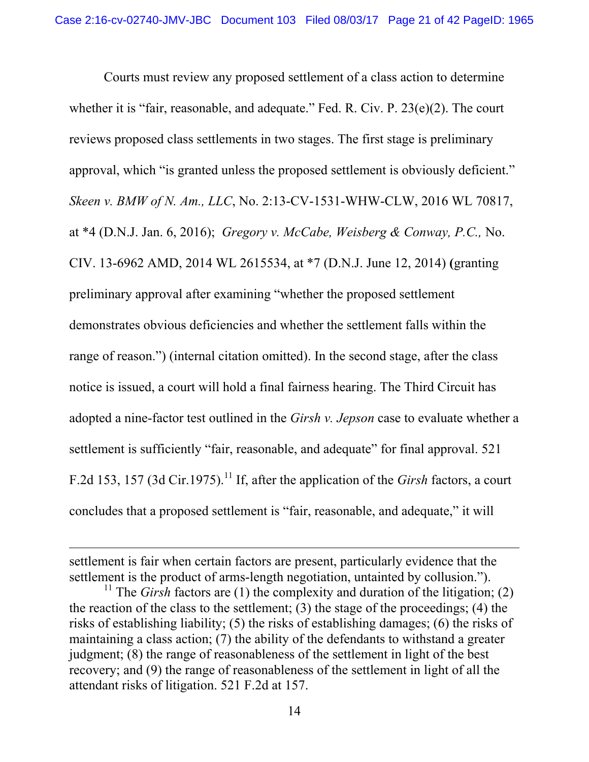Courts must review any proposed settlement of a class action to determine whether it is "fair, reasonable, and adequate." Fed. R. Civ. P. 23(e)(2). The court reviews proposed class settlements in two stages. The first stage is preliminary approval, which "is granted unless the proposed settlement is obviously deficient." *Skeen v. BMW of N. Am., LLC*, No. 2:13-CV-1531-WHW-CLW, 2016 WL 70817, at \*4 (D.N.J. Jan. 6, 2016); *Gregory v. McCabe, Weisberg & Conway, P.C.,* No. CIV. 13-6962 AMD, 2014 WL 2615534, at \*7 (D.N.J. June 12, 2014) **(**granting preliminary approval after examining "whether the proposed settlement demonstrates obvious deficiencies and whether the settlement falls within the range of reason.") (internal citation omitted). In the second stage, after the class notice is issued, a court will hold a final fairness hearing. The Third Circuit has adopted a nine-factor test outlined in the *Girsh v. Jepson* case to evaluate whether a settlement is sufficiently "fair, reasonable, and adequate" for final approval. 521 F.2d 153, 157 (3d Cir.1975).<sup>11</sup> If, after the application of the *Girsh* factors, a court concludes that a proposed settlement is "fair, reasonable, and adequate," it will

 $\overline{a}$ 

settlement is fair when certain factors are present, particularly evidence that the settlement is the product of arms-length negotiation, untainted by collusion.").

<sup>&</sup>lt;sup>11</sup> The *Girsh* factors are (1) the complexity and duration of the litigation; (2) the reaction of the class to the settlement; (3) the stage of the proceedings; (4) the risks of establishing liability; (5) the risks of establishing damages; (6) the risks of maintaining a class action; (7) the ability of the defendants to withstand a greater judgment; (8) the range of reasonableness of the settlement in light of the best recovery; and (9) the range of reasonableness of the settlement in light of all the attendant risks of litigation. 521 F.2d at 157.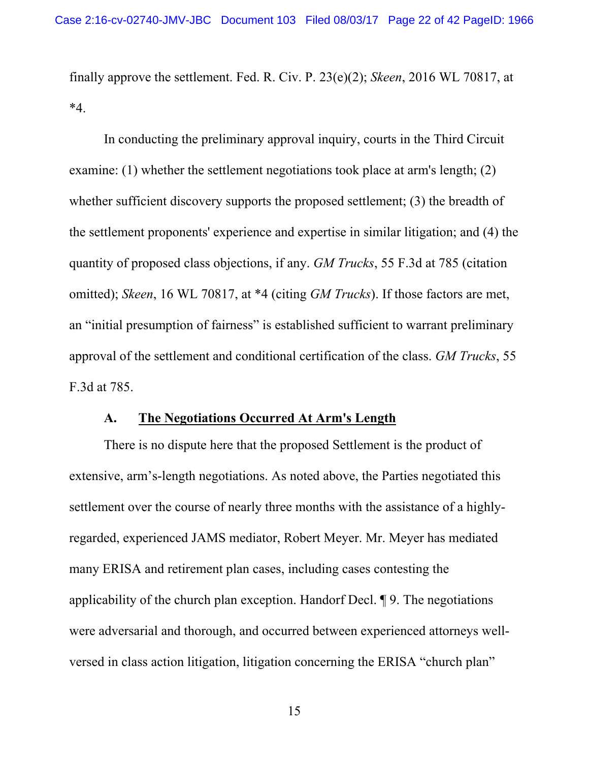finally approve the settlement. Fed. R. Civ. P. 23(e)(2); *Skeen*, 2016 WL 70817, at  $*_{4}$ .

In conducting the preliminary approval inquiry, courts in the Third Circuit examine: (1) whether the settlement negotiations took place at arm's length; (2) whether sufficient discovery supports the proposed settlement; (3) the breadth of the settlement proponents' experience and expertise in similar litigation; and (4) the quantity of proposed class objections, if any. *GM Trucks*, 55 F.3d at 785 (citation omitted); *Skeen*, 16 WL 70817, at \*4 (citing *GM Trucks*). If those factors are met, an "initial presumption of fairness" is established sufficient to warrant preliminary approval of the settlement and conditional certification of the class. *GM Trucks*, 55 F.3d at 785.

#### **A. The Negotiations Occurred At Arm's Length**

There is no dispute here that the proposed Settlement is the product of extensive, arm's-length negotiations. As noted above, the Parties negotiated this settlement over the course of nearly three months with the assistance of a highlyregarded, experienced JAMS mediator, Robert Meyer. Mr. Meyer has mediated many ERISA and retirement plan cases, including cases contesting the applicability of the church plan exception. Handorf Decl. ¶ 9. The negotiations were adversarial and thorough, and occurred between experienced attorneys wellversed in class action litigation, litigation concerning the ERISA "church plan"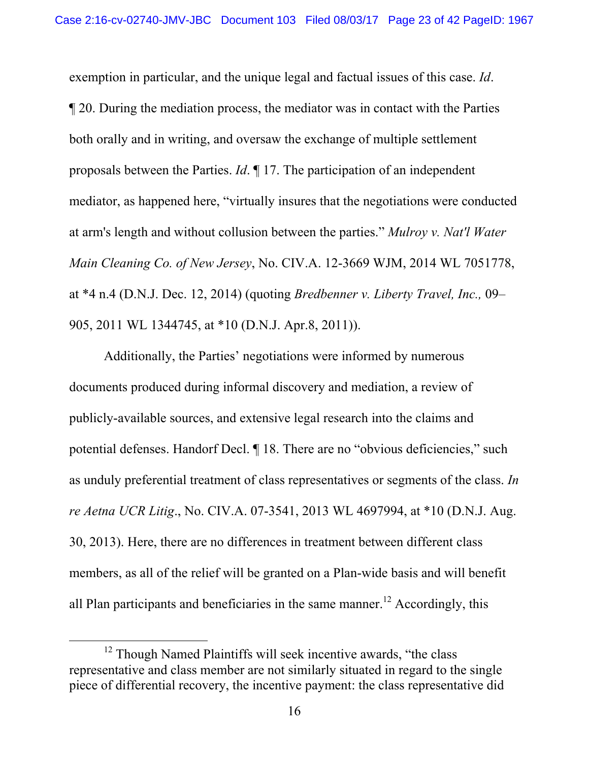exemption in particular, and the unique legal and factual issues of this case. *Id*. ¶ 20. During the mediation process, the mediator was in contact with the Parties both orally and in writing, and oversaw the exchange of multiple settlement proposals between the Parties. *Id*. ¶ 17. The participation of an independent mediator, as happened here, "virtually insures that the negotiations were conducted at arm's length and without collusion between the parties." *Mulroy v. Nat'l Water Main Cleaning Co. of New Jersey*, No. CIV.A. 12-3669 WJM, 2014 WL 7051778, at \*4 n.4 (D.N.J. Dec. 12, 2014) (quoting *Bredbenner v. Liberty Travel, Inc.,* 09– 905, 2011 WL 1344745, at \*10 (D.N.J. Apr.8, 2011)).

Additionally, the Parties' negotiations were informed by numerous documents produced during informal discovery and mediation, a review of publicly-available sources, and extensive legal research into the claims and potential defenses. Handorf Decl. ¶ 18. There are no "obvious deficiencies," such as unduly preferential treatment of class representatives or segments of the class. *In re Aetna UCR Litig*., No. CIV.A. 07-3541, 2013 WL 4697994, at \*10 (D.N.J. Aug. 30, 2013). Here, there are no differences in treatment between different class members, as all of the relief will be granted on a Plan-wide basis and will benefit all Plan participants and beneficiaries in the same manner.<sup>12</sup> Accordingly, this

<sup>&</sup>lt;sup>12</sup> Though Named Plaintiffs will seek incentive awards, "the class" representative and class member are not similarly situated in regard to the single piece of differential recovery, the incentive payment: the class representative did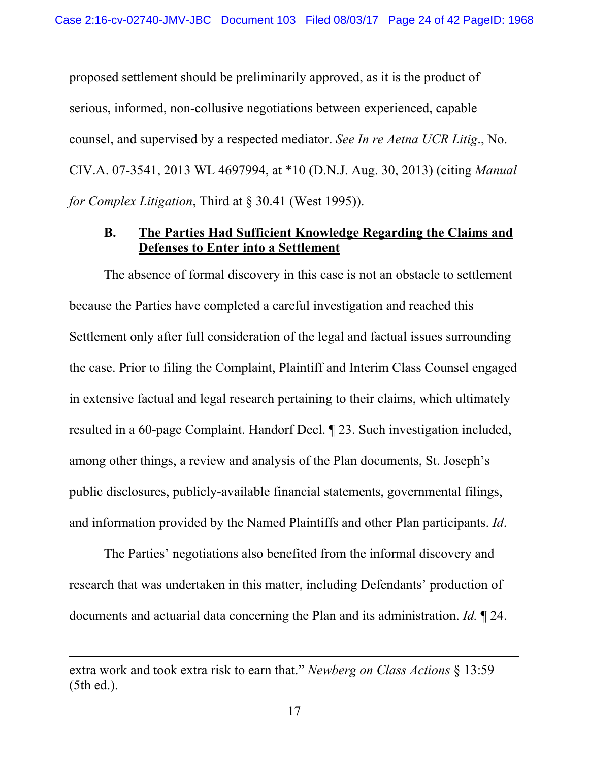proposed settlement should be preliminarily approved, as it is the product of serious, informed, non-collusive negotiations between experienced, capable counsel, and supervised by a respected mediator. *See In re Aetna UCR Litig*., No. CIV.A. 07-3541, 2013 WL 4697994, at \*10 (D.N.J. Aug. 30, 2013) (citing *Manual for Complex Litigation*, Third at § 30.41 (West 1995)).

### **B. The Parties Had Sufficient Knowledge Regarding the Claims and Defenses to Enter into a Settlement**

The absence of formal discovery in this case is not an obstacle to settlement because the Parties have completed a careful investigation and reached this Settlement only after full consideration of the legal and factual issues surrounding the case. Prior to filing the Complaint, Plaintiff and Interim Class Counsel engaged in extensive factual and legal research pertaining to their claims, which ultimately resulted in a 60-page Complaint. Handorf Decl. ¶ 23. Such investigation included, among other things, a review and analysis of the Plan documents, St. Joseph's public disclosures, publicly-available financial statements, governmental filings, and information provided by the Named Plaintiffs and other Plan participants. *Id*.

The Parties' negotiations also benefited from the informal discovery and research that was undertaken in this matter, including Defendants' production of documents and actuarial data concerning the Plan and its administration. *Id.* ¶ 24.

 $\overline{a}$ 

extra work and took extra risk to earn that." *Newberg on Class Actions* § 13:59 (5th ed.).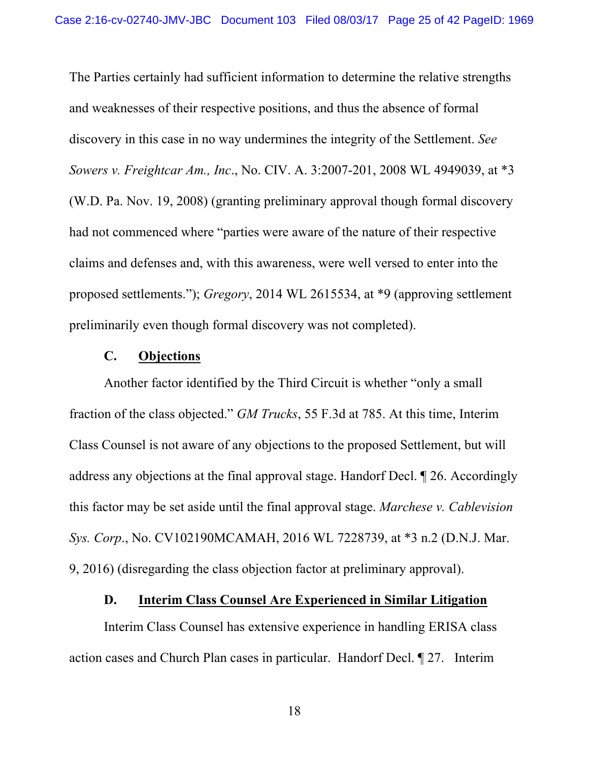The Parties certainly had sufficient information to determine the relative strengths and weaknesses of their respective positions, and thus the absence of formal discovery in this case in no way undermines the integrity of the Settlement. *See Sowers v. Freightcar Am., Inc*., No. CIV. A. 3:2007-201, 2008 WL 4949039, at \*3 (W.D. Pa. Nov. 19, 2008) (granting preliminary approval though formal discovery had not commenced where "parties were aware of the nature of their respective claims and defenses and, with this awareness, were well versed to enter into the proposed settlements."); *Gregory*, 2014 WL 2615534, at \*9 (approving settlement preliminarily even though formal discovery was not completed).

#### **C. Objections**

Another factor identified by the Third Circuit is whether "only a small fraction of the class objected." *GM Trucks*, 55 F.3d at 785. At this time, Interim Class Counsel is not aware of any objections to the proposed Settlement, but will address any objections at the final approval stage. Handorf Decl. ¶ 26. Accordingly this factor may be set aside until the final approval stage. *Marchese v. Cablevision Sys. Corp*., No. CV102190MCAMAH, 2016 WL 7228739, at \*3 n.2 (D.N.J. Mar. 9, 2016) (disregarding the class objection factor at preliminary approval).

#### **D. Interim Class Counsel Are Experienced in Similar Litigation**

Interim Class Counsel has extensive experience in handling ERISA class action cases and Church Plan cases in particular. Handorf Decl. ¶ 27. Interim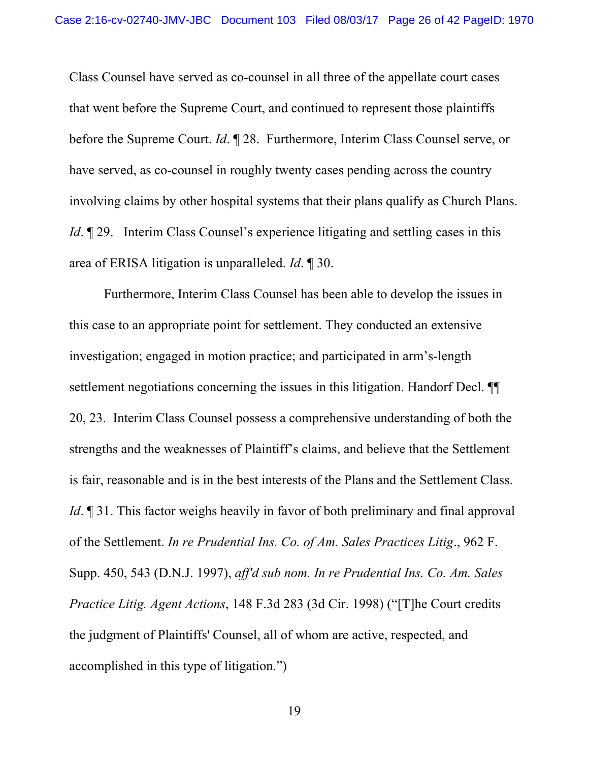Class Counsel have served as co-counsel in all three of the appellate court cases that went before the Supreme Court, and continued to represent those plaintiffs before the Supreme Court. *Id*. ¶ 28. Furthermore, Interim Class Counsel serve, or have served, as co-counsel in roughly twenty cases pending across the country involving claims by other hospital systems that their plans qualify as Church Plans. *Id*. **[29.** Interim Class Counsel's experience litigating and settling cases in this area of ERISA litigation is unparalleled. *Id*. ¶ 30.

Furthermore, Interim Class Counsel has been able to develop the issues in this case to an appropriate point for settlement. They conducted an extensive investigation; engaged in motion practice; and participated in arm's-length settlement negotiations concerning the issues in this litigation. Handorf Decl. ¶¶ 20, 23. Interim Class Counsel possess a comprehensive understanding of both the strengths and the weaknesses of Plaintiff's claims, and believe that the Settlement is fair, reasonable and is in the best interests of the Plans and the Settlement Class. *Id*. 131. This factor weighs heavily in favor of both preliminary and final approval of the Settlement. *In re Prudential Ins. Co. of Am. Sales Practices Litig*., 962 F. Supp. 450, 543 (D.N.J. 1997), *aff'd sub nom. In re Prudential Ins. Co. Am. Sales Practice Litig. Agent Actions*, 148 F.3d 283 (3d Cir. 1998) ("[T]he Court credits the judgment of Plaintiffs' Counsel, all of whom are active, respected, and accomplished in this type of litigation.")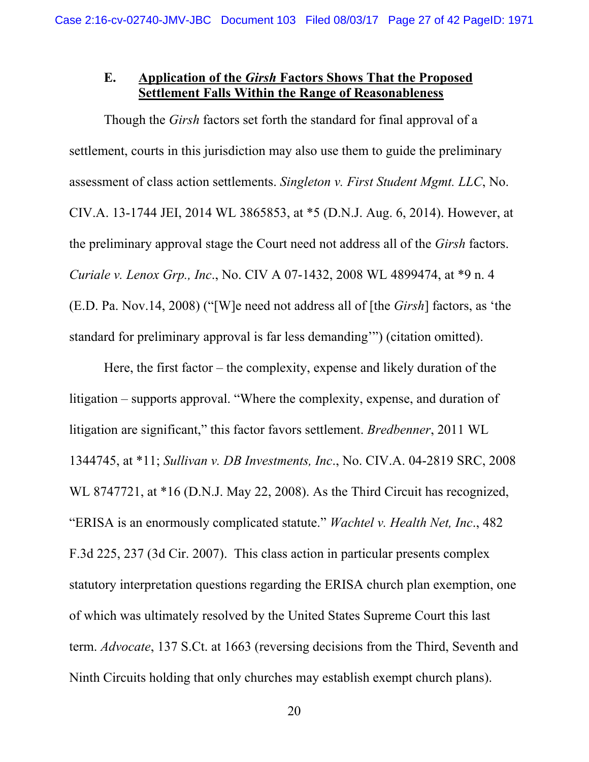# **E. Application of the** *Girsh* **Factors Shows That the Proposed Settlement Falls Within the Range of Reasonableness**

Though the *Girsh* factors set forth the standard for final approval of a settlement, courts in this jurisdiction may also use them to guide the preliminary assessment of class action settlements. *Singleton v. First Student Mgmt. LLC*, No. CIV.A. 13-1744 JEI, 2014 WL 3865853, at \*5 (D.N.J. Aug. 6, 2014). However, at the preliminary approval stage the Court need not address all of the *Girsh* factors. *Curiale v. Lenox Grp., Inc*., No. CIV A 07-1432, 2008 WL 4899474, at \*9 n. 4 (E.D. Pa. Nov.14, 2008) ("[W]e need not address all of [the *Girsh*] factors, as 'the standard for preliminary approval is far less demanding'") (citation omitted).

Here, the first factor – the complexity, expense and likely duration of the litigation – supports approval. "Where the complexity, expense, and duration of litigation are significant," this factor favors settlement. *Bredbenner*, 2011 WL 1344745, at \*11; *Sullivan v. DB Investments, Inc*., No. CIV.A. 04-2819 SRC, 2008 WL 8747721, at \*16 (D.N.J. May 22, 2008). As the Third Circuit has recognized, "ERISA is an enormously complicated statute." *Wachtel v. Health Net, Inc*., 482 F.3d 225, 237 (3d Cir. 2007). This class action in particular presents complex statutory interpretation questions regarding the ERISA church plan exemption, one of which was ultimately resolved by the United States Supreme Court this last term. *Advocate*, 137 S.Ct. at 1663 (reversing decisions from the Third, Seventh and Ninth Circuits holding that only churches may establish exempt church plans).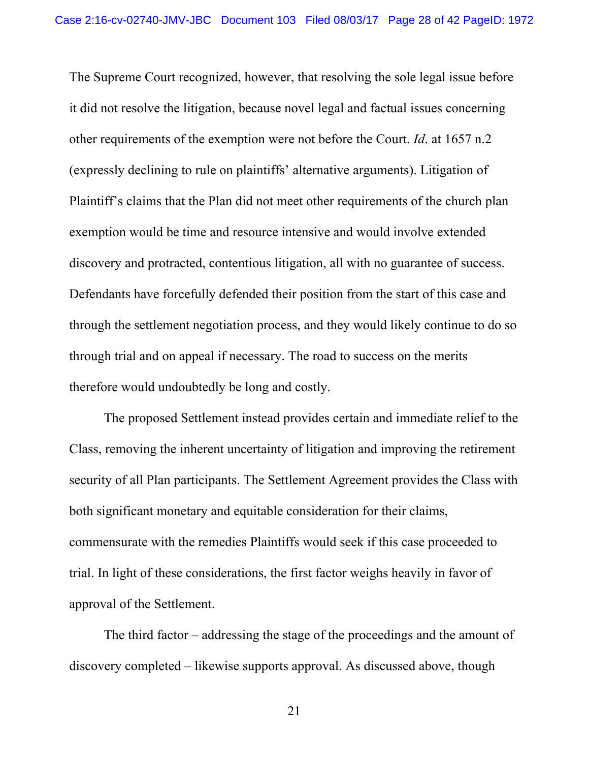The Supreme Court recognized, however, that resolving the sole legal issue before it did not resolve the litigation, because novel legal and factual issues concerning other requirements of the exemption were not before the Court. *Id*. at 1657 n.2 (expressly declining to rule on plaintiffs' alternative arguments). Litigation of Plaintiff's claims that the Plan did not meet other requirements of the church plan exemption would be time and resource intensive and would involve extended discovery and protracted, contentious litigation, all with no guarantee of success. Defendants have forcefully defended their position from the start of this case and through the settlement negotiation process, and they would likely continue to do so through trial and on appeal if necessary. The road to success on the merits therefore would undoubtedly be long and costly.

The proposed Settlement instead provides certain and immediate relief to the Class, removing the inherent uncertainty of litigation and improving the retirement security of all Plan participants. The Settlement Agreement provides the Class with both significant monetary and equitable consideration for their claims, commensurate with the remedies Plaintiffs would seek if this case proceeded to trial. In light of these considerations, the first factor weighs heavily in favor of approval of the Settlement.

The third factor – addressing the stage of the proceedings and the amount of discovery completed – likewise supports approval. As discussed above, though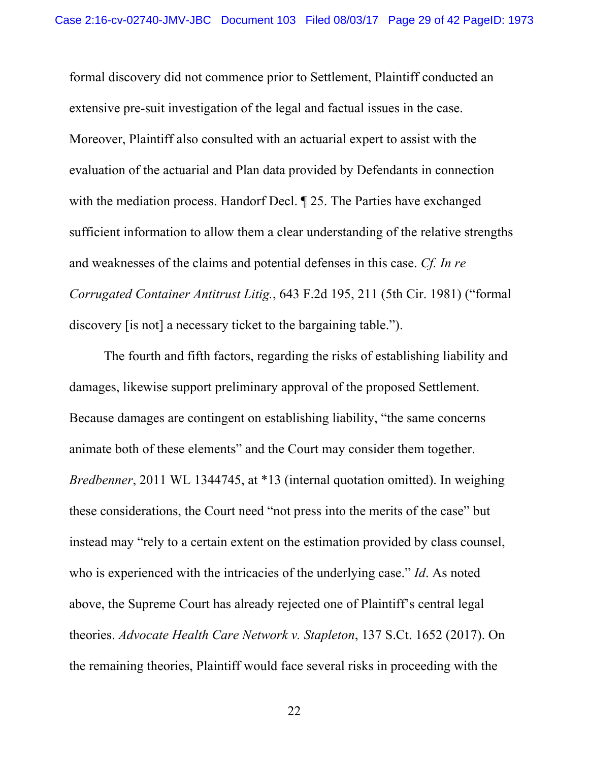formal discovery did not commence prior to Settlement, Plaintiff conducted an extensive pre-suit investigation of the legal and factual issues in the case. Moreover, Plaintiff also consulted with an actuarial expert to assist with the evaluation of the actuarial and Plan data provided by Defendants in connection with the mediation process. Handorf Decl.  $\parallel$  25. The Parties have exchanged sufficient information to allow them a clear understanding of the relative strengths and weaknesses of the claims and potential defenses in this case. *Cf. In re Corrugated Container Antitrust Litig.*, 643 F.2d 195, 211 (5th Cir. 1981) ("formal discovery [is not] a necessary ticket to the bargaining table.").

The fourth and fifth factors, regarding the risks of establishing liability and damages, likewise support preliminary approval of the proposed Settlement. Because damages are contingent on establishing liability, "the same concerns animate both of these elements" and the Court may consider them together. *Bredbenner*, 2011 WL 1344745, at \*13 (internal quotation omitted). In weighing these considerations, the Court need "not press into the merits of the case" but instead may "rely to a certain extent on the estimation provided by class counsel, who is experienced with the intricacies of the underlying case." *Id*. As noted above, the Supreme Court has already rejected one of Plaintiff's central legal theories. *Advocate Health Care Network v. Stapleton*, 137 S.Ct. 1652 (2017). On the remaining theories, Plaintiff would face several risks in proceeding with the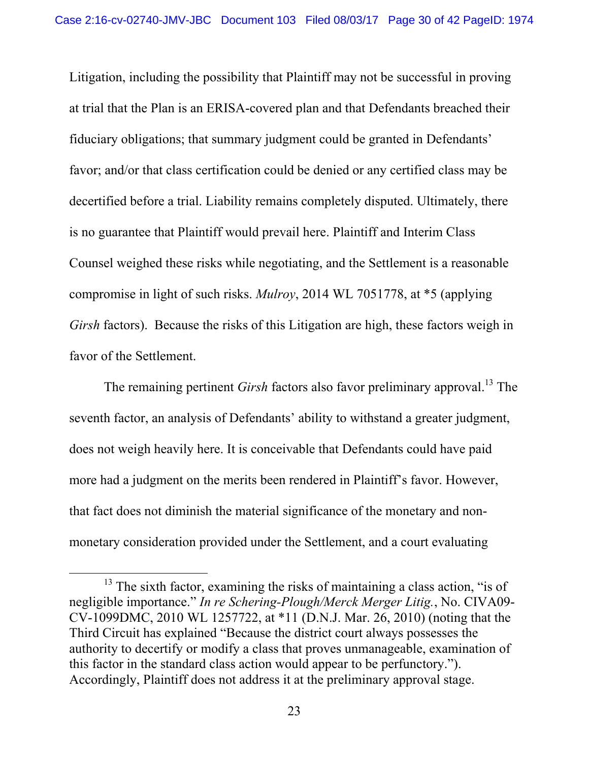Litigation, including the possibility that Plaintiff may not be successful in proving at trial that the Plan is an ERISA-covered plan and that Defendants breached their fiduciary obligations; that summary judgment could be granted in Defendants' favor; and/or that class certification could be denied or any certified class may be decertified before a trial. Liability remains completely disputed. Ultimately, there is no guarantee that Plaintiff would prevail here. Plaintiff and Interim Class Counsel weighed these risks while negotiating, and the Settlement is a reasonable compromise in light of such risks. *Mulroy*, 2014 WL 7051778, at \*5 (applying *Girsh* factors). Because the risks of this Litigation are high, these factors weigh in favor of the Settlement.

The remaining pertinent *Girsh* factors also favor preliminary approval.<sup>13</sup> The seventh factor, an analysis of Defendants' ability to withstand a greater judgment, does not weigh heavily here. It is conceivable that Defendants could have paid more had a judgment on the merits been rendered in Plaintiff's favor. However, that fact does not diminish the material significance of the monetary and nonmonetary consideration provided under the Settlement, and a court evaluating

<sup>&</sup>lt;sup>13</sup> The sixth factor, examining the risks of maintaining a class action, "is of negligible importance." *In re Schering-Plough/Merck Merger Litig.*, No. CIVA09- CV-1099DMC, 2010 WL 1257722, at \*11 (D.N.J. Mar. 26, 2010) (noting that the Third Circuit has explained "Because the district court always possesses the authority to decertify or modify a class that proves unmanageable, examination of this factor in the standard class action would appear to be perfunctory."). Accordingly, Plaintiff does not address it at the preliminary approval stage.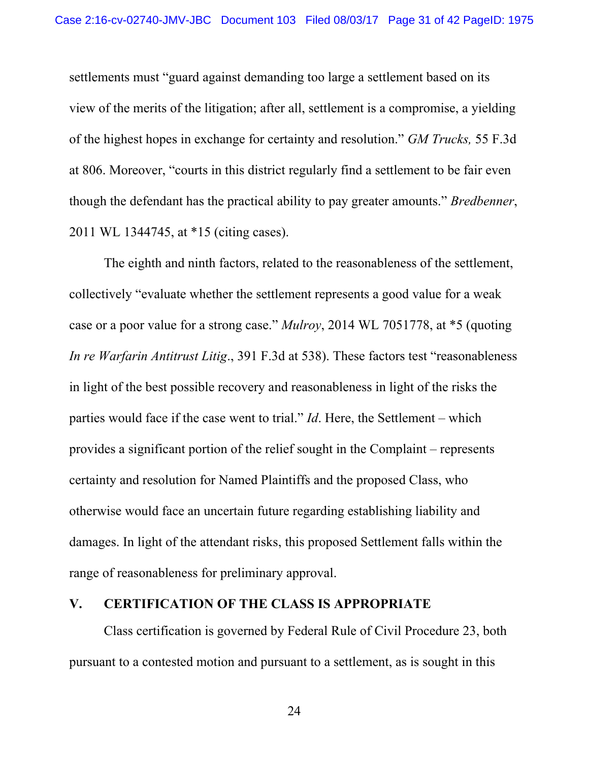settlements must "guard against demanding too large a settlement based on its view of the merits of the litigation; after all, settlement is a compromise, a yielding of the highest hopes in exchange for certainty and resolution." *GM Trucks,* 55 F.3d at 806. Moreover, "courts in this district regularly find a settlement to be fair even though the defendant has the practical ability to pay greater amounts." *Bredbenner*, 2011 WL 1344745, at \*15 (citing cases).

The eighth and ninth factors, related to the reasonableness of the settlement, collectively "evaluate whether the settlement represents a good value for a weak case or a poor value for a strong case." *Mulroy*, 2014 WL 7051778, at \*5 (quoting *In re Warfarin Antitrust Litig*., 391 F.3d at 538). These factors test "reasonableness in light of the best possible recovery and reasonableness in light of the risks the parties would face if the case went to trial." *Id*. Here, the Settlement – which provides a significant portion of the relief sought in the Complaint – represents certainty and resolution for Named Plaintiffs and the proposed Class, who otherwise would face an uncertain future regarding establishing liability and damages. In light of the attendant risks, this proposed Settlement falls within the range of reasonableness for preliminary approval.

#### **V. CERTIFICATION OF THE CLASS IS APPROPRIATE**

Class certification is governed by Federal Rule of Civil Procedure 23, both pursuant to a contested motion and pursuant to a settlement, as is sought in this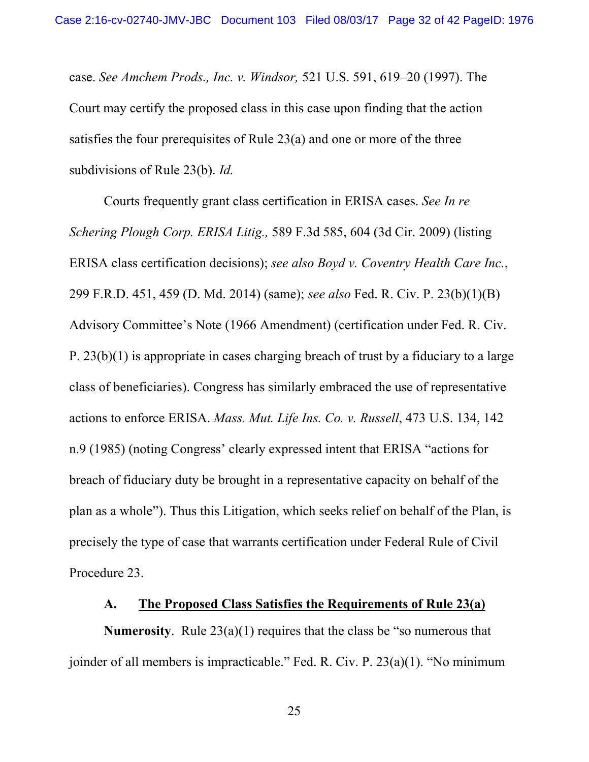case. *See Amchem Prods., Inc. v. Windsor,* 521 U.S. 591, 619–20 (1997). The Court may certify the proposed class in this case upon finding that the action satisfies the four prerequisites of Rule 23(a) and one or more of the three subdivisions of Rule 23(b). *Id.* 

Courts frequently grant class certification in ERISA cases. *See In re Schering Plough Corp. ERISA Litig.,* 589 F.3d 585, 604 (3d Cir. 2009) (listing ERISA class certification decisions); *see also Boyd v. Coventry Health Care Inc.*, 299 F.R.D. 451, 459 (D. Md. 2014) (same); *see also* Fed. R. Civ. P. 23(b)(1)(B) Advisory Committee's Note (1966 Amendment) (certification under Fed. R. Civ. P. 23(b)(1) is appropriate in cases charging breach of trust by a fiduciary to a large class of beneficiaries). Congress has similarly embraced the use of representative actions to enforce ERISA. *Mass. Mut. Life Ins. Co. v. Russell*, 473 U.S. 134, 142 n.9 (1985) (noting Congress' clearly expressed intent that ERISA "actions for breach of fiduciary duty be brought in a representative capacity on behalf of the plan as a whole"). Thus this Litigation, which seeks relief on behalf of the Plan, is precisely the type of case that warrants certification under Federal Rule of Civil Procedure 23.

#### **A. The Proposed Class Satisfies the Requirements of Rule 23(a)**

**Numerosity**. Rule 23(a)(1) requires that the class be "so numerous that joinder of all members is impracticable." Fed. R. Civ. P. 23(a)(1). "No minimum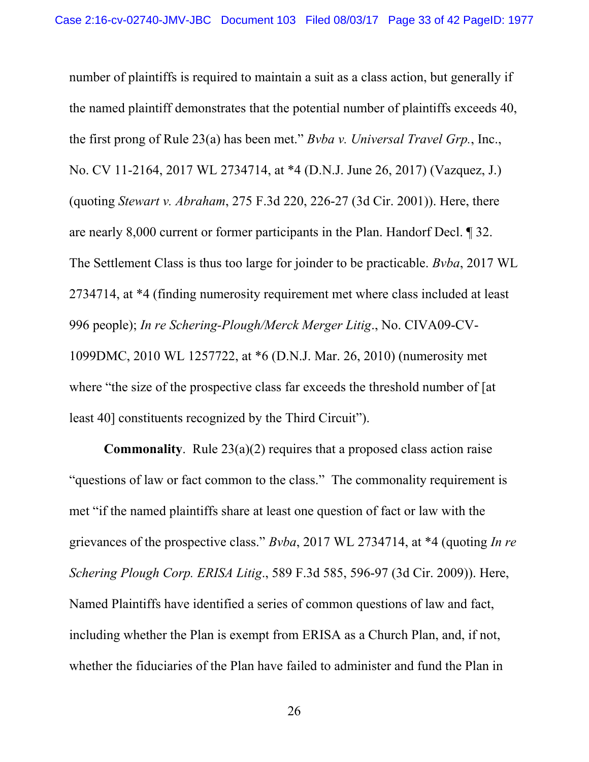number of plaintiffs is required to maintain a suit as a class action, but generally if the named plaintiff demonstrates that the potential number of plaintiffs exceeds 40, the first prong of Rule 23(a) has been met." *Bvba v. Universal Travel Grp.*, Inc., No. CV 11-2164, 2017 WL 2734714, at \*4 (D.N.J. June 26, 2017) (Vazquez, J.) (quoting *Stewart v. Abraham*, 275 F.3d 220, 226-27 (3d Cir. 2001)). Here, there are nearly 8,000 current or former participants in the Plan. Handorf Decl. ¶ 32. The Settlement Class is thus too large for joinder to be practicable. *Bvba*, 2017 WL 2734714, at \*4 (finding numerosity requirement met where class included at least 996 people); *In re Schering-Plough/Merck Merger Litig*., No. CIVA09-CV-1099DMC, 2010 WL 1257722, at \*6 (D.N.J. Mar. 26, 2010) (numerosity met where "the size of the prospective class far exceeds the threshold number of [at] least 40] constituents recognized by the Third Circuit").

**Commonality**. Rule 23(a)(2) requires that a proposed class action raise "questions of law or fact common to the class." The commonality requirement is met "if the named plaintiffs share at least one question of fact or law with the grievances of the prospective class." *Bvba*, 2017 WL 2734714, at \*4 (quoting *In re Schering Plough Corp. ERISA Litig*., 589 F.3d 585, 596-97 (3d Cir. 2009)). Here, Named Plaintiffs have identified a series of common questions of law and fact, including whether the Plan is exempt from ERISA as a Church Plan, and, if not, whether the fiduciaries of the Plan have failed to administer and fund the Plan in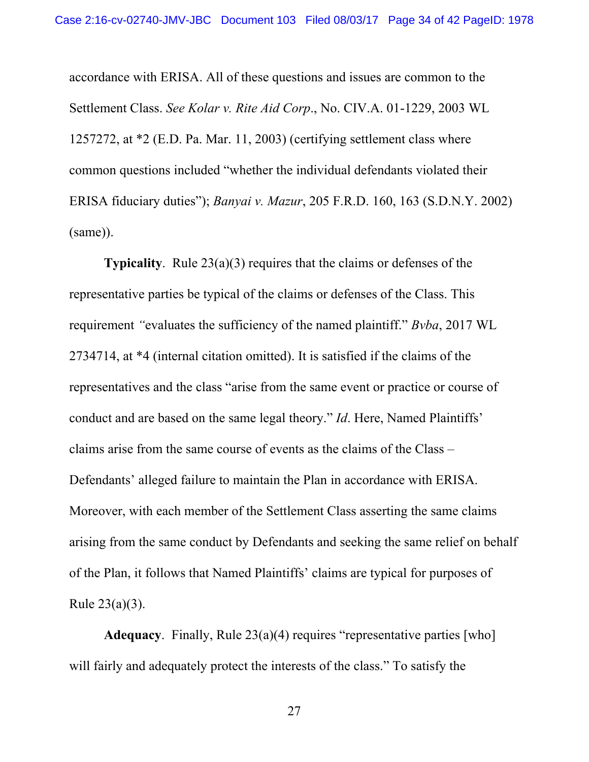accordance with ERISA. All of these questions and issues are common to the Settlement Class. *See Kolar v. Rite Aid Corp*., No. CIV.A. 01-1229, 2003 WL 1257272, at \*2 (E.D. Pa. Mar. 11, 2003) (certifying settlement class where common questions included "whether the individual defendants violated their ERISA fiduciary duties"); *Banyai v. Mazur*, 205 F.R.D. 160, 163 (S.D.N.Y. 2002) (same)).

**Typicality**. Rule 23(a)(3) requires that the claims or defenses of the representative parties be typical of the claims or defenses of the Class. This requirement *"*evaluates the sufficiency of the named plaintiff." *Bvba*, 2017 WL 2734714, at \*4 (internal citation omitted). It is satisfied if the claims of the representatives and the class "arise from the same event or practice or course of conduct and are based on the same legal theory." *Id*. Here, Named Plaintiffs' claims arise from the same course of events as the claims of the Class – Defendants' alleged failure to maintain the Plan in accordance with ERISA. Moreover, with each member of the Settlement Class asserting the same claims arising from the same conduct by Defendants and seeking the same relief on behalf of the Plan, it follows that Named Plaintiffs' claims are typical for purposes of Rule 23(a)(3).

**Adequacy**. Finally, Rule 23(a)(4) requires "representative parties [who] will fairly and adequately protect the interests of the class." To satisfy the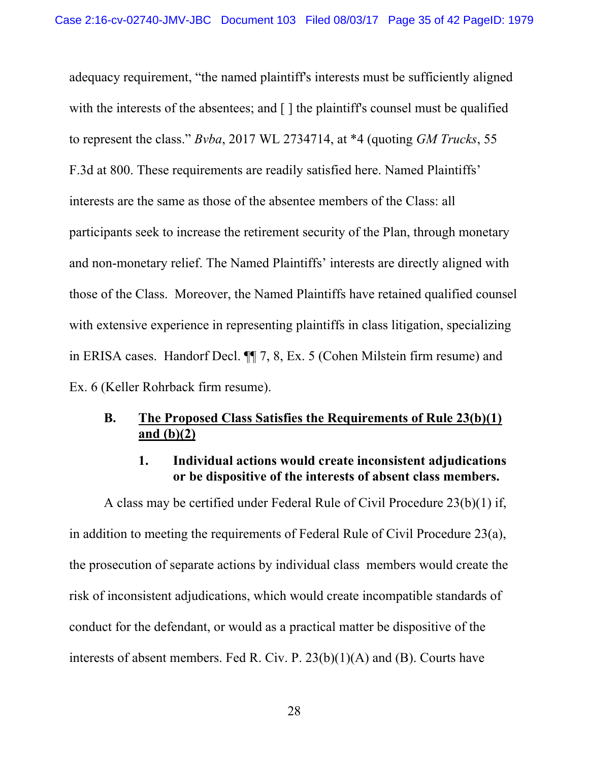adequacy requirement, "the named plaintiff's interests must be sufficiently aligned with the interests of the absentees; and  $\lceil \cdot \rceil$  the plaintiff's counsel must be qualified to represent the class." *Bvba*, 2017 WL 2734714, at \*4 (quoting *GM Trucks*, 55 F.3d at 800. These requirements are readily satisfied here. Named Plaintiffs' interests are the same as those of the absentee members of the Class: all participants seek to increase the retirement security of the Plan, through monetary and non-monetary relief. The Named Plaintiffs' interests are directly aligned with those of the Class. Moreover, the Named Plaintiffs have retained qualified counsel with extensive experience in representing plaintiffs in class litigation, specializing in ERISA cases. Handorf Decl. ¶¶ 7, 8, Ex. 5 (Cohen Milstein firm resume) and Ex. 6 (Keller Rohrback firm resume).

## **B. The Proposed Class Satisfies the Requirements of Rule 23(b)(1) and (b)(2)**

### **1. Individual actions would create inconsistent adjudications or be dispositive of the interests of absent class members.**

A class may be certified under Federal Rule of Civil Procedure 23(b)(1) if, in addition to meeting the requirements of Federal Rule of Civil Procedure 23(a), the prosecution of separate actions by individual class members would create the risk of inconsistent adjudications, which would create incompatible standards of conduct for the defendant, or would as a practical matter be dispositive of the interests of absent members. Fed R. Civ. P. 23(b)(1)(A) and (B). Courts have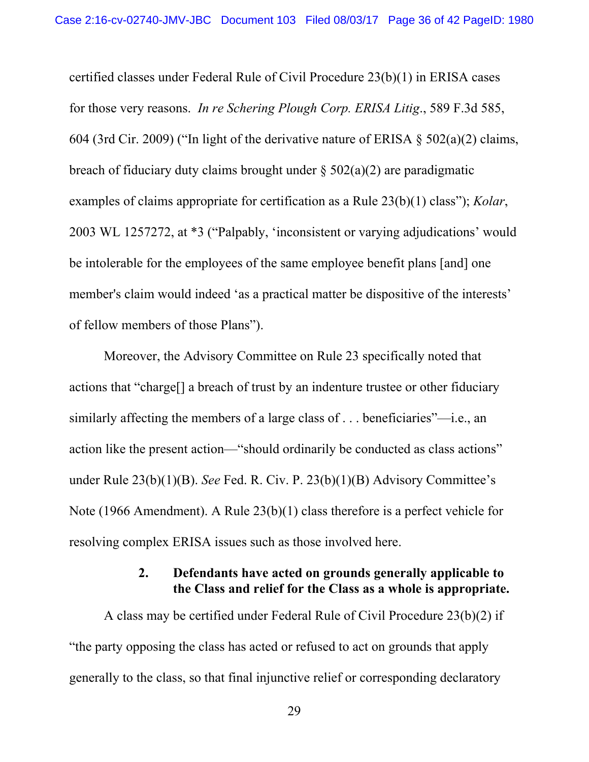certified classes under Federal Rule of Civil Procedure 23(b)(1) in ERISA cases for those very reasons. *In re Schering Plough Corp. ERISA Litig*., 589 F.3d 585, 604 (3rd Cir. 2009) ("In light of the derivative nature of ERISA  $\S$  502(a)(2) claims, breach of fiduciary duty claims brought under  $\S 502(a)(2)$  are paradigmatic examples of claims appropriate for certification as a Rule 23(b)(1) class"); *Kolar*, 2003 WL 1257272, at \*3 ("Palpably, 'inconsistent or varying adjudications' would be intolerable for the employees of the same employee benefit plans [and] one member's claim would indeed 'as a practical matter be dispositive of the interests' of fellow members of those Plans").

Moreover, the Advisory Committee on Rule 23 specifically noted that actions that "charge[] a breach of trust by an indenture trustee or other fiduciary similarly affecting the members of a large class of . . . beneficiaries"—i.e., an action like the present action—"should ordinarily be conducted as class actions" under Rule 23(b)(1)(B). *See* Fed. R. Civ. P. 23(b)(1)(B) Advisory Committee's Note (1966 Amendment). A Rule 23(b)(1) class therefore is a perfect vehicle for resolving complex ERISA issues such as those involved here.

### **2. Defendants have acted on grounds generally applicable to the Class and relief for the Class as a whole is appropriate.**

A class may be certified under Federal Rule of Civil Procedure 23(b)(2) if "the party opposing the class has acted or refused to act on grounds that apply generally to the class, so that final injunctive relief or corresponding declaratory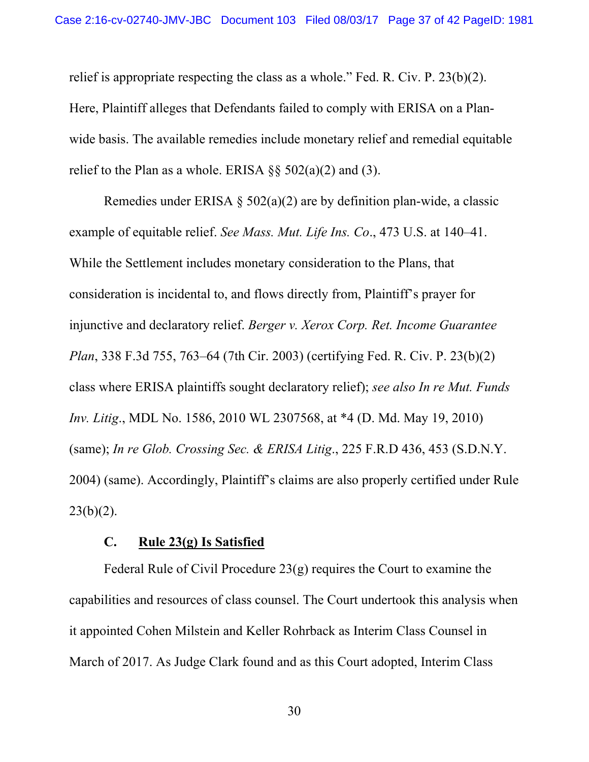relief is appropriate respecting the class as a whole." Fed. R. Civ. P. 23(b)(2). Here, Plaintiff alleges that Defendants failed to comply with ERISA on a Planwide basis. The available remedies include monetary relief and remedial equitable relief to the Plan as a whole. ERISA  $\S$ § 502(a)(2) and (3).

Remedies under ERISA  $\S 502(a)(2)$  are by definition plan-wide, a classic example of equitable relief. *See Mass. Mut. Life Ins. Co*., 473 U.S. at 140–41. While the Settlement includes monetary consideration to the Plans, that consideration is incidental to, and flows directly from, Plaintiff's prayer for injunctive and declaratory relief. *Berger v. Xerox Corp. Ret. Income Guarantee Plan*, 338 F.3d 755, 763–64 (7th Cir. 2003) (certifying Fed. R. Civ. P. 23(b)(2) class where ERISA plaintiffs sought declaratory relief); *see also In re Mut. Funds Inv. Litig*., MDL No. 1586, 2010 WL 2307568, at \*4 (D. Md. May 19, 2010) (same); *In re Glob. Crossing Sec. & ERISA Litig*., 225 F.R.D 436, 453 (S.D.N.Y. 2004) (same). Accordingly, Plaintiff's claims are also properly certified under Rule  $23(b)(2)$ .

#### **C. Rule 23(g) Is Satisfied**

Federal Rule of Civil Procedure 23(g) requires the Court to examine the capabilities and resources of class counsel. The Court undertook this analysis when it appointed Cohen Milstein and Keller Rohrback as Interim Class Counsel in March of 2017. As Judge Clark found and as this Court adopted, Interim Class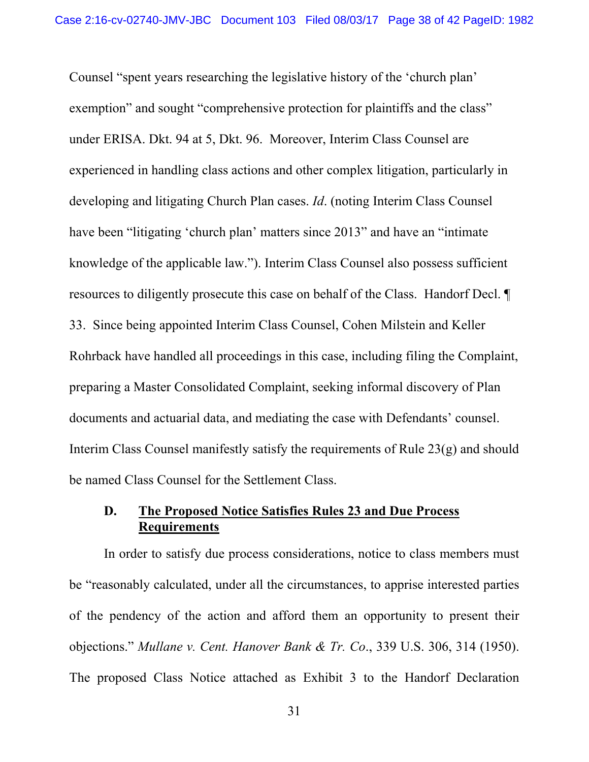Counsel "spent years researching the legislative history of the 'church plan' exemption" and sought "comprehensive protection for plaintiffs and the class" under ERISA. Dkt. 94 at 5, Dkt. 96. Moreover, Interim Class Counsel are experienced in handling class actions and other complex litigation, particularly in developing and litigating Church Plan cases. *Id*. (noting Interim Class Counsel have been "litigating 'church plan' matters since 2013" and have an "intimate knowledge of the applicable law."). Interim Class Counsel also possess sufficient resources to diligently prosecute this case on behalf of the Class. Handorf Decl. ¶ 33. Since being appointed Interim Class Counsel, Cohen Milstein and Keller Rohrback have handled all proceedings in this case, including filing the Complaint, preparing a Master Consolidated Complaint, seeking informal discovery of Plan documents and actuarial data, and mediating the case with Defendants' counsel. Interim Class Counsel manifestly satisfy the requirements of Rule 23(g) and should be named Class Counsel for the Settlement Class.

# **D. The Proposed Notice Satisfies Rules 23 and Due Process Requirements**

In order to satisfy due process considerations, notice to class members must be "reasonably calculated, under all the circumstances, to apprise interested parties of the pendency of the action and afford them an opportunity to present their objections." *Mullane v. Cent. Hanover Bank & Tr. Co*., 339 U.S. 306, 314 (1950). The proposed Class Notice attached as Exhibit 3 to the Handorf Declaration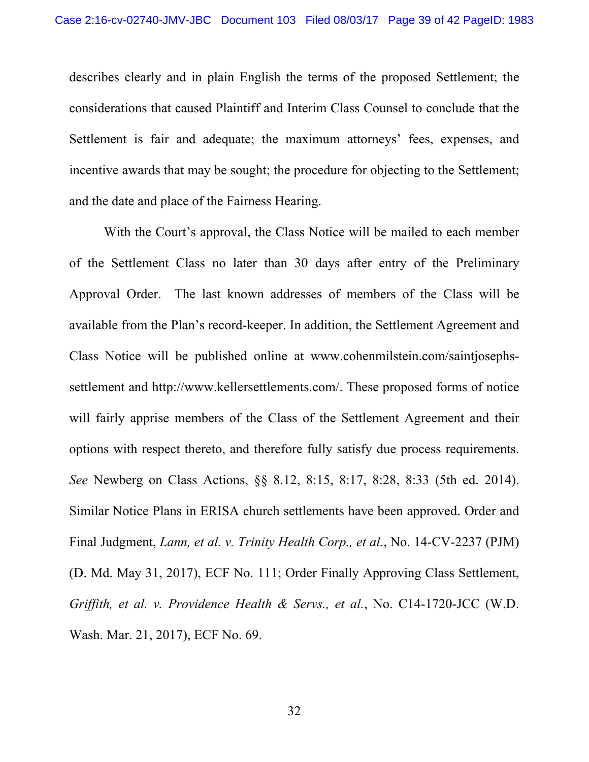describes clearly and in plain English the terms of the proposed Settlement; the considerations that caused Plaintiff and Interim Class Counsel to conclude that the Settlement is fair and adequate; the maximum attorneys' fees, expenses, and incentive awards that may be sought; the procedure for objecting to the Settlement; and the date and place of the Fairness Hearing.

With the Court's approval, the Class Notice will be mailed to each member of the Settlement Class no later than 30 days after entry of the Preliminary Approval Order. The last known addresses of members of the Class will be available from the Plan's record-keeper. In addition, the Settlement Agreement and Class Notice will be published online at www.cohenmilstein.com/saintjosephssettlement and http://www.kellersettlements.com/. These proposed forms of notice will fairly apprise members of the Class of the Settlement Agreement and their options with respect thereto, and therefore fully satisfy due process requirements. *See* Newberg on Class Actions, §§ 8.12, 8:15, 8:17, 8:28, 8:33 (5th ed. 2014). Similar Notice Plans in ERISA church settlements have been approved. Order and Final Judgment, *Lann, et al. v. Trinity Health Corp., et al.*, No. 14-CV-2237 (PJM) (D. Md. May 31, 2017), ECF No. 111; Order Finally Approving Class Settlement, *Griffith, et al. v. Providence Health & Servs., et al.*, No. C14-1720-JCC (W.D. Wash. Mar. 21, 2017), ECF No. 69.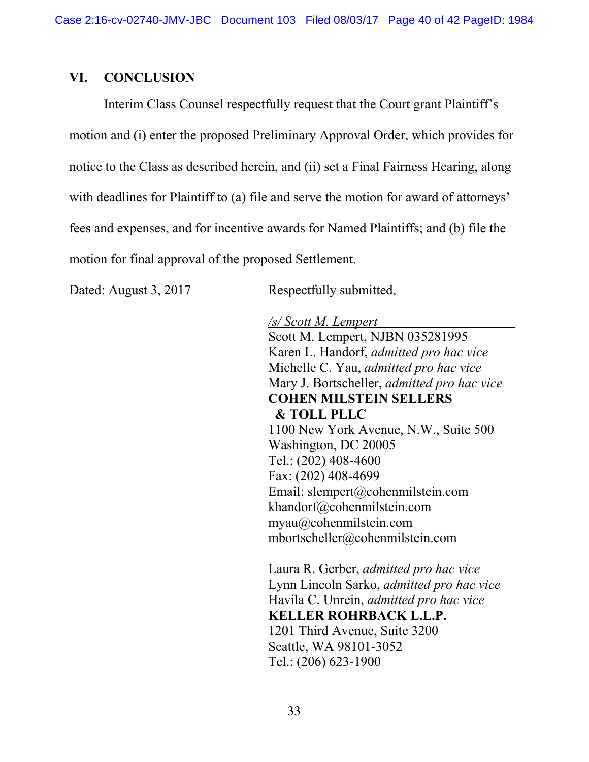### **VI. CONCLUSION**

Interim Class Counsel respectfully request that the Court grant Plaintiff's motion and (i) enter the proposed Preliminary Approval Order, which provides for notice to the Class as described herein, and (ii) set a Final Fairness Hearing, along with deadlines for Plaintiff to (a) file and serve the motion for award of attorneys' fees and expenses, and for incentive awards for Named Plaintiffs; and (b) file the motion for final approval of the proposed Settlement.

Dated: August 3, 2017 Respectfully submitted,

*/s/ Scott M. Lempert*  Scott M. Lempert, NJBN 035281995 Karen L. Handorf, *admitted pro hac vice* Michelle C. Yau, *admitted pro hac vice* Mary J. Bortscheller, *admitted pro hac vice* **COHEN MILSTEIN SELLERS & TOLL PLLC** 1100 New York Avenue, N.W., Suite 500 Washington, DC 20005 Tel.: (202) 408-4600 Fax: (202) 408-4699 Email: slempert@cohenmilstein.com khandorf@cohenmilstein.com myau@cohenmilstein.com mbortscheller@cohenmilstein.com

Laura R. Gerber, *admitted pro hac vice* Lynn Lincoln Sarko, *admitted pro hac vice*  Havila C. Unrein, *admitted pro hac vice*  **KELLER ROHRBACK L.L.P.** 1201 Third Avenue, Suite 3200 Seattle, WA 98101-3052 Tel.: (206) 623-1900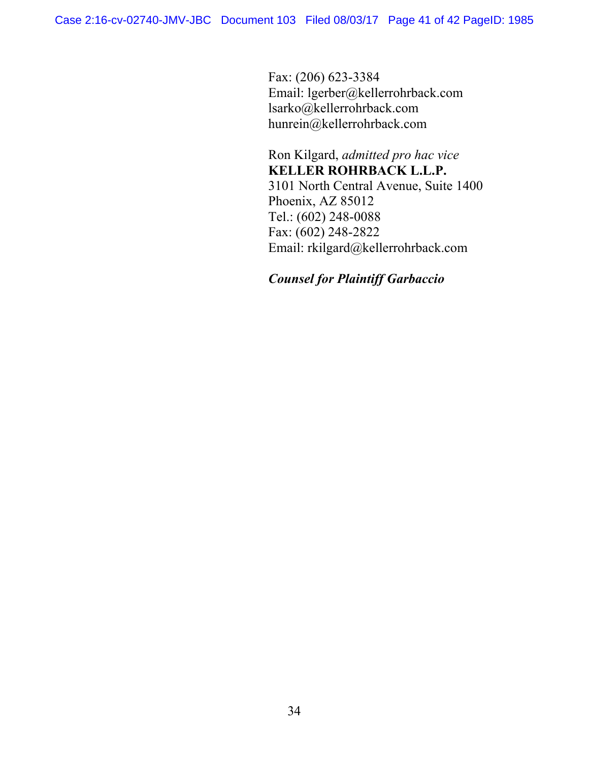Fax: (206) 623-3384 Email: lgerber@kellerrohrback.com lsarko@kellerrohrback.com hunrein@kellerrohrback.com

Ron Kilgard, *admitted pro hac vice*  **KELLER ROHRBACK L.L.P.**  3101 North Central Avenue, Suite 1400 Phoenix, AZ 85012 Tel.: (602) 248-0088 Fax: (602) 248-2822 Email: rkilgard@kellerrohrback.com

*Counsel for Plaintiff Garbaccio*